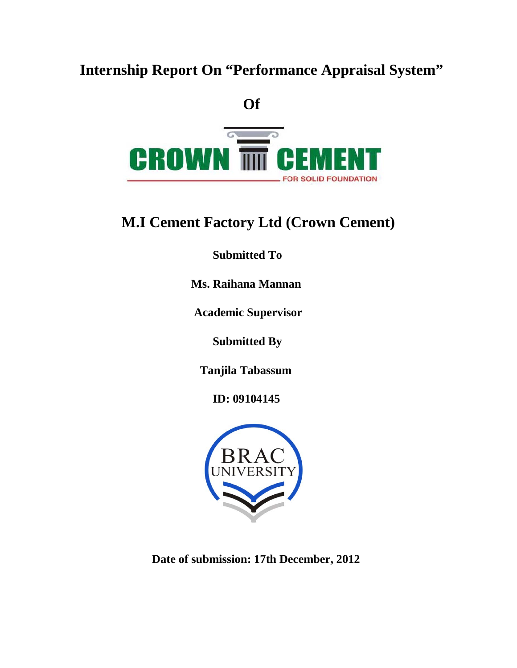# **Internship Report On "Performance Appraisal System"**

**Of**



# **M.I Cement Factory Ltd (Crown Cement)**

# **Submitted To**

 **Ms. Raihana Mannan**

 **Academic Supervisor**

**Submitted By**

 **Tanjila Tabassum**

**ID: 09104145**



**Date of submission: 17th December, 2012**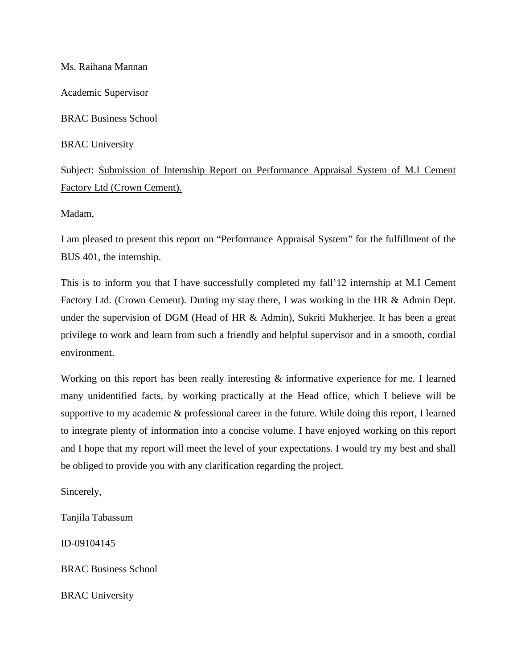#### Ms. Raihana Mannan

Academic Supervisor

BRAC Business School

BRAC University

Subject: Submission of Internship Report on Performance Appraisal System of M.I Cement Factory Ltd (Crown Cement).

Madam,

I am pleased to present this report on "Performance Appraisal System" for the fulfillment of the BUS 401, the internship.

This is to inform you that I have successfully completed my fall'12 internship at M.I Cement Factory Ltd. (Crown Cement). During my stay there, I was working in the HR & Admin Dept. under the supervision of DGM (Head of HR & Admin), Sukriti Mukherjee. It has been a great privilege to work and learn from such a friendly and helpful supervisor and in a smooth, cordial environment.

Working on this report has been really interesting & informative experience for me. I learned many unidentified facts, by working practically at the Head office, which I believe will be supportive to my academic & professional career in the future. While doing this report, I learned to integrate plenty of information into a concise volume. I have enjoyed working on this report and I hope that my report will meet the level of your expectations. I would try my best and shall be obliged to provide you with any clarification regarding the project.

Sincerely,

Tanjila Tabassum

ID-09104145

BRAC Business School

BRAC University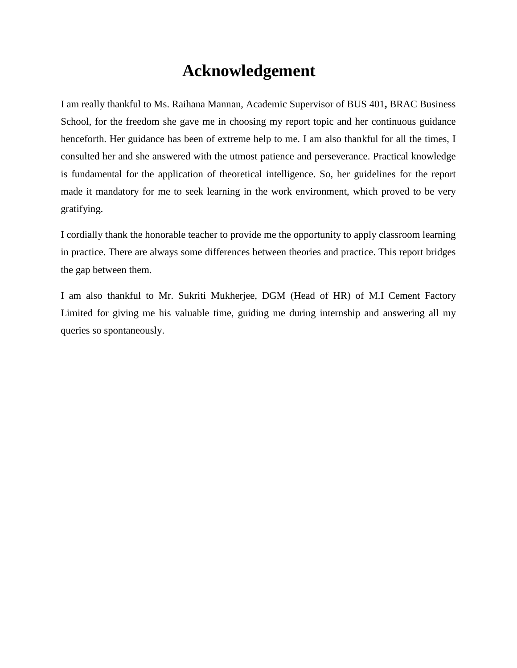# **Acknowledgement**

I am really thankful to Ms. Raihana Mannan, Academic Supervisor of BUS 401**,** BRAC Business School, for the freedom she gave me in choosing my report topic and her continuous guidance henceforth. Her guidance has been of extreme help to me. I am also thankful for all the times, I consulted her and she answered with the utmost patience and perseverance. Practical knowledge is fundamental for the application of theoretical intelligence. So, her guidelines for the report made it mandatory for me to seek learning in the work environment, which proved to be very gratifying.

I cordially thank the honorable teacher to provide me the opportunity to apply classroom learning in practice. There are always some differences between theories and practice. This report bridges the gap between them.

I am also thankful to Mr. Sukriti Mukherjee, DGM (Head of HR) of M.I Cement Factory Limited for giving me his valuable time, guiding me during internship and answering all my queries so spontaneously.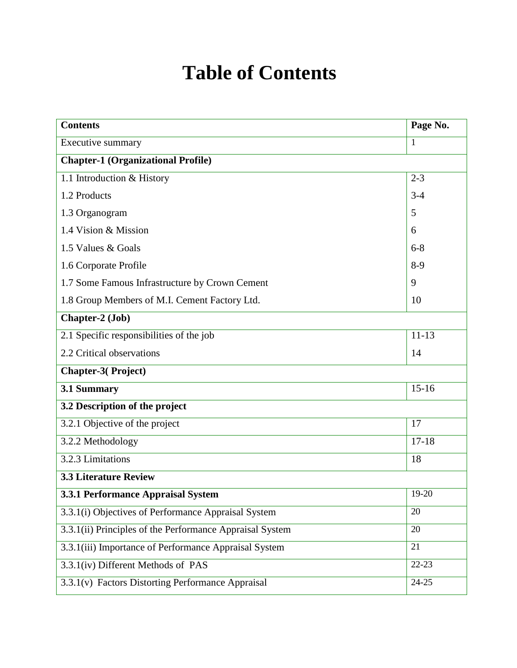# **Table of Contents**

| <b>Contents</b>                                             | Page No.  |  |  |  |  |  |  |
|-------------------------------------------------------------|-----------|--|--|--|--|--|--|
| Executive summary                                           | 1         |  |  |  |  |  |  |
| <b>Chapter-1 (Organizational Profile)</b>                   |           |  |  |  |  |  |  |
| 1.1 Introduction & History<br>$2 - 3$                       |           |  |  |  |  |  |  |
| 1.2 Products                                                | $3 - 4$   |  |  |  |  |  |  |
| 1.3 Organogram                                              | 5         |  |  |  |  |  |  |
| 1.4 Vision & Mission                                        | 6         |  |  |  |  |  |  |
| 1.5 Values & Goals                                          | $6 - 8$   |  |  |  |  |  |  |
| 1.6 Corporate Profile                                       | $8-9$     |  |  |  |  |  |  |
| 1.7 Some Famous Infrastructure by Crown Cement              | 9         |  |  |  |  |  |  |
| 1.8 Group Members of M.I. Cement Factory Ltd.               | 10        |  |  |  |  |  |  |
| Chapter-2 (Job)                                             |           |  |  |  |  |  |  |
| 2.1 Specific responsibilities of the job<br>$11 - 13$       |           |  |  |  |  |  |  |
| 2.2 Critical observations                                   | 14        |  |  |  |  |  |  |
| <b>Chapter-3(Project)</b>                                   |           |  |  |  |  |  |  |
| 3.1 Summary                                                 | $15 - 16$ |  |  |  |  |  |  |
| 3.2 Description of the project                              |           |  |  |  |  |  |  |
| 3.2.1 Objective of the project                              | 17        |  |  |  |  |  |  |
| 3.2.2 Methodology                                           | $17 - 18$ |  |  |  |  |  |  |
| 3.2.3 Limitations                                           | 18        |  |  |  |  |  |  |
| <b>3.3 Literature Review</b>                                |           |  |  |  |  |  |  |
| 3.3.1 Performance Appraisal System                          | 19-20     |  |  |  |  |  |  |
| 3.3.1(i) Objectives of Performance Appraisal System         | 20        |  |  |  |  |  |  |
| 3.3.1(ii) Principles of the Performance Appraisal System    | 20        |  |  |  |  |  |  |
| 3.3.1(iii) Importance of Performance Appraisal System<br>21 |           |  |  |  |  |  |  |
| 3.3.1(iv) Different Methods of PAS                          | $22 - 23$ |  |  |  |  |  |  |
| 3.3.1(v) Factors Distorting Performance Appraisal           | $24 - 25$ |  |  |  |  |  |  |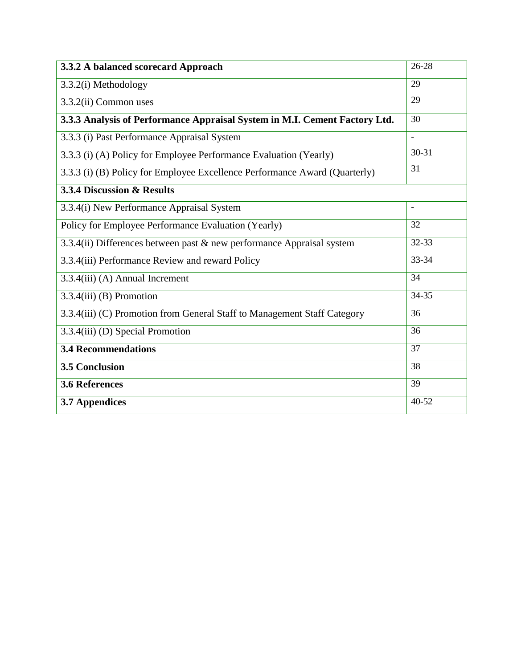| 3.3.2 A balanced scorecard Approach                                        | 26-28         |  |  |  |  |  |
|----------------------------------------------------------------------------|---------------|--|--|--|--|--|
| 3.3.2(i) Methodology                                                       | 29            |  |  |  |  |  |
| 3.3.2(ii) Common uses                                                      |               |  |  |  |  |  |
| 3.3.3 Analysis of Performance Appraisal System in M.I. Cement Factory Ltd. | 30            |  |  |  |  |  |
| 3.3.3 (i) Past Performance Appraisal System                                | $\frac{1}{2}$ |  |  |  |  |  |
| 3.3.3 (i) (A) Policy for Employee Performance Evaluation (Yearly)          | $30 - 31$     |  |  |  |  |  |
| 3.3.3 (i) (B) Policy for Employee Excellence Performance Award (Quarterly) | 31            |  |  |  |  |  |
| 3.3.4 Discussion & Results                                                 |               |  |  |  |  |  |
| 3.3.4(i) New Performance Appraisal System                                  |               |  |  |  |  |  |
| Policy for Employee Performance Evaluation (Yearly)                        | 32            |  |  |  |  |  |
| 3.3.4(ii) Differences between past & new performance Appraisal system      | 32-33         |  |  |  |  |  |
| 3.3.4(iii) Performance Review and reward Policy                            | 33-34         |  |  |  |  |  |
| 3.3.4(iii) (A) Annual Increment                                            | 34            |  |  |  |  |  |
| 3.3.4(iii) (B) Promotion                                                   | 34-35         |  |  |  |  |  |
| 3.3.4(iii) (C) Promotion from General Staff to Management Staff Category   | 36            |  |  |  |  |  |
| 3.3.4(iii) (D) Special Promotion                                           | 36            |  |  |  |  |  |
| <b>3.4 Recommendations</b>                                                 | 37            |  |  |  |  |  |
| <b>3.5 Conclusion</b>                                                      | 38            |  |  |  |  |  |
| <b>3.6 References</b>                                                      | 39            |  |  |  |  |  |
| 3.7 Appendices                                                             | 40-52         |  |  |  |  |  |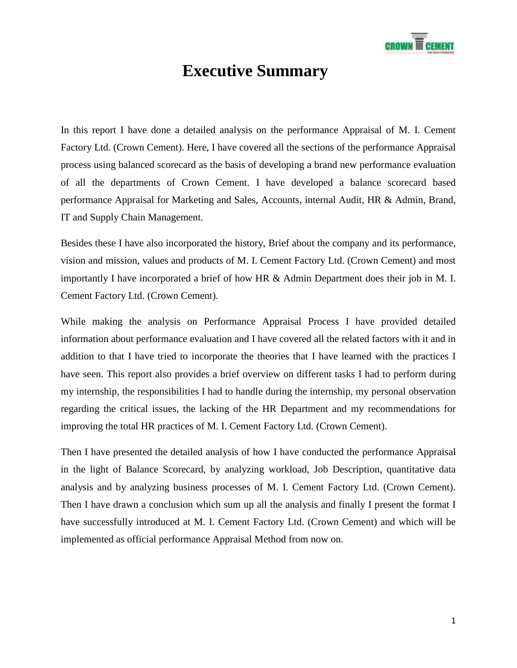

# **Executive Summary**

In this report I have done a detailed analysis on the performance Appraisal of M. I. Cement Factory Ltd. (Crown Cement). Here, I have covered all the sections of the performance Appraisal process using balanced scorecard as the basis of developing a brand new performance evaluation of all the departments of Crown Cement. I have developed a balance scorecard based performance Appraisal for Marketing and Sales, Accounts, internal Audit, HR & Admin, Brand, IT and Supply Chain Management.

Besides these I have also incorporated the history, Brief about the company and its performance, vision and mission, values and products of M. I. Cement Factory Ltd. (Crown Cement) and most importantly I have incorporated a brief of how HR & Admin Department does their job in M. I. Cement Factory Ltd. (Crown Cement).

While making the analysis on Performance Appraisal Process I have provided detailed information about performance evaluation and I have covered all the related factors with it and in addition to that I have tried to incorporate the theories that I have learned with the practices I have seen. This report also provides a brief overview on different tasks I had to perform during my internship, the responsibilities I had to handle during the internship, my personal observation regarding the critical issues, the lacking of the HR Department and my recommendations for improving the total HR practices of M. I. Cement Factory Ltd. (Crown Cement).

Then I have presented the detailed analysis of how I have conducted the performance Appraisal in the light of Balance Scorecard, by analyzing workload, Job Description, quantitative data analysis and by analyzing business processes of M. I. Cement Factory Ltd. (Crown Cement). Then I have drawn a conclusion which sum up all the analysis and finally I present the format I have successfully introduced at M. I. Cement Factory Ltd. (Crown Cement) and which will be implemented as official performance Appraisal Method from now on.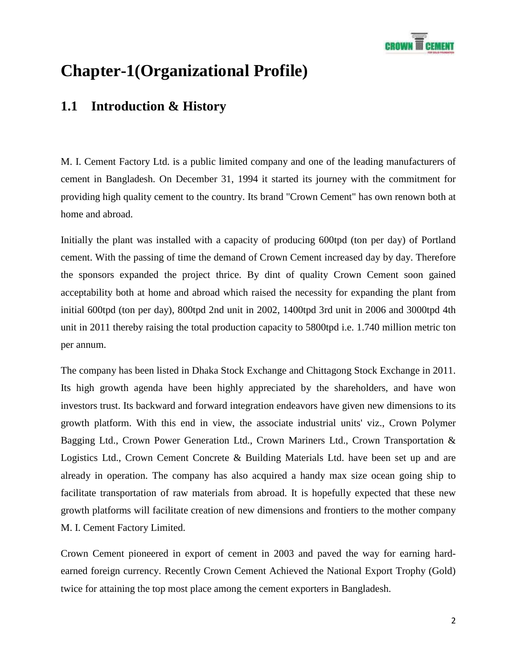

# **Chapter-1(Organizational Profile)**

## **1.1 Introduction & History**

M. I. Cement Factory Ltd. is a public limited company and one of the leading manufacturers of cement in Bangladesh. On December 31, 1994 it started its journey with the commitment for providing high quality cement to the country. Its brand "Crown Cement" has own renown both at home and abroad.

Initially the plant was installed with a capacity of producing 600tpd (ton per day) of Portland cement. With the passing of time the demand of Crown Cement increased day by day. Therefore the sponsors expanded the project thrice. By dint of quality Crown Cement soon gained acceptability both at home and abroad which raised the necessity for expanding the plant from initial 600tpd (ton per day), 800tpd 2nd unit in 2002, 1400tpd 3rd unit in 2006 and 3000tpd 4th unit in 2011 thereby raising the total production capacity to 5800tpd i.e. 1.740 million metric ton per annum.

The company has been listed in Dhaka Stock Exchange and Chittagong Stock Exchange in 2011. Its high growth agenda have been highly appreciated by the shareholders, and have won investors trust. Its backward and forward integration endeavors have given new dimensions to its growth platform. With this end in view, the associate industrial units' viz., Crown Polymer Bagging Ltd., Crown Power Generation Ltd., Crown Mariners Ltd., Crown Transportation & Logistics Ltd., Crown Cement Concrete & Building Materials Ltd. have been set up and are already in operation. The company has also acquired a handy max size ocean going ship to facilitate transportation of raw materials from abroad. It is hopefully expected that these new growth platforms will facilitate creation of new dimensions and frontiers to the mother company M. I. Cement Factory Limited.

Crown Cement pioneered in export of cement in 2003 and paved the way for earning hardearned foreign currency. Recently Crown Cement Achieved the National Export Trophy (Gold) twice for attaining the top most place among the cement exporters in Bangladesh.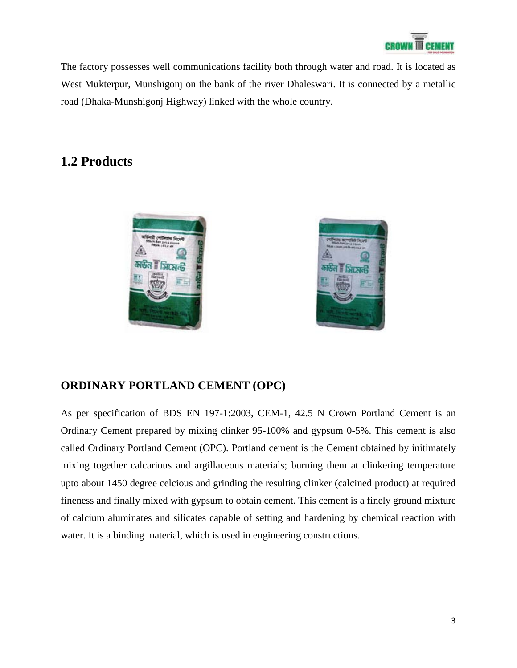

The factory possesses well communications facility both through water and road. It is located as West Mukterpur, Munshigonj on the bank of the river Dhaleswari. It is connected by a metallic road (Dhaka-Munshigonj Highway) linked with the whole country.

# **1.2 Products**





## **ORDINARY PORTLAND CEMENT (OPC)**

As per specification of BDS EN 197-1:2003, CEM-1, 42.5 N Crown Portland Cement is an Ordinary Cement prepared by mixing clinker 95-100% and gypsum 0-5%. This cement is also called Ordinary Portland Cement (OPC). Portland cement is the Cement obtained by initimately mixing together calcarious and argillaceous materials; burning them at clinkering temperature upto about 1450 degree celcious and grinding the resulting clinker (calcined product) at required fineness and finally mixed with gypsum to obtain cement. This cement is a finely ground mixture of calcium aluminates and silicates capable of setting and hardening by chemical reaction with water. It is a binding material, which is used in engineering constructions.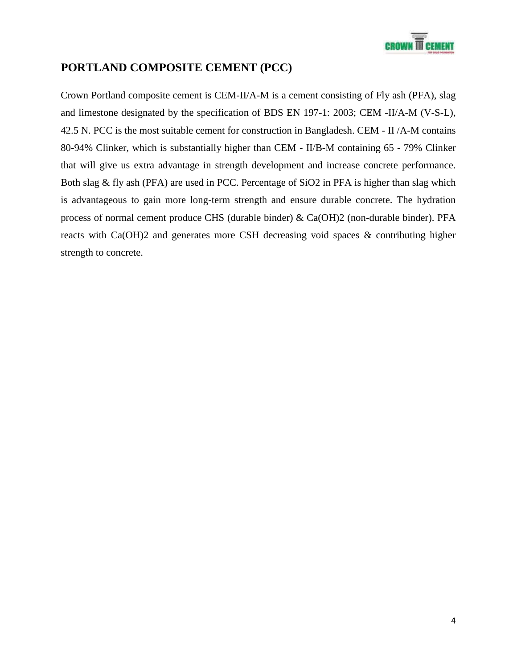

## **PORTLAND COMPOSITE CEMENT (PCC)**

Crown Portland composite cement is CEM-II/A-M is a cement consisting of Fly ash (PFA), slag and limestone designated by the specification of BDS EN 197-1: 2003; CEM -II/A-M (V-S-L), 42.5 N. PCC is the most suitable cement for construction in Bangladesh. CEM - II /A-M contains 80-94% Clinker, which is substantially higher than CEM - II/B-M containing 65 - 79% Clinker that will give us extra advantage in strength development and increase concrete performance. Both slag & fly ash (PFA) are used in PCC. Percentage of SiO2 in PFA is higher than slag which is advantageous to gain more long-term strength and ensure durable concrete. The hydration process of normal cement produce CHS (durable binder) & Ca(OH)2 (non-durable binder). PFA reacts with Ca(OH)2 and generates more CSH decreasing void spaces & contributing higher strength to concrete.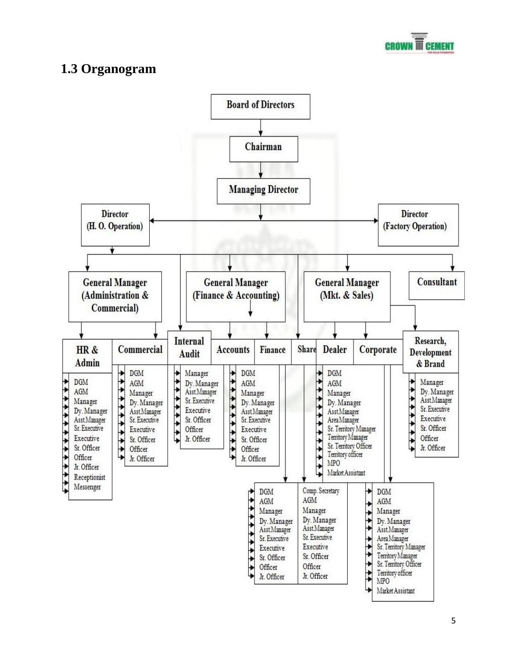

# **1.3 Organogram**

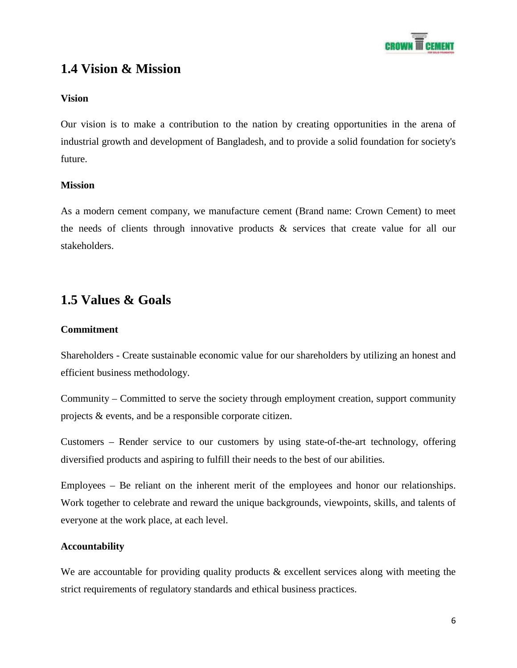

# **1.4 Vision & Mission**

#### **Vision**

Our vision is to make a contribution to the nation by creating opportunities in the arena of industrial growth and development of Bangladesh, and to provide a solid foundation for society's future.

#### **Mission**

As a modern cement company, we manufacture cement (Brand name: Crown Cement) to meet the needs of clients through innovative products & services that create value for all our stakeholders.

## **1.5 Values & Goals**

#### **Commitment**

Shareholders - Create sustainable economic value for our shareholders by utilizing an honest and efficient business methodology.

Community – Committed to serve the society through employment creation, support community projects & events, and be a responsible corporate citizen.

Customers – Render service to our customers by using state-of-the-art technology, offering diversified products and aspiring to fulfill their needs to the best of our abilities.

Employees – Be reliant on the inherent merit of the employees and honor our relationships. Work together to celebrate and reward the unique backgrounds, viewpoints, skills, and talents of everyone at the work place, at each level.

#### **Accountability**

We are accountable for providing quality products & excellent services along with meeting the strict requirements of regulatory standards and ethical business practices.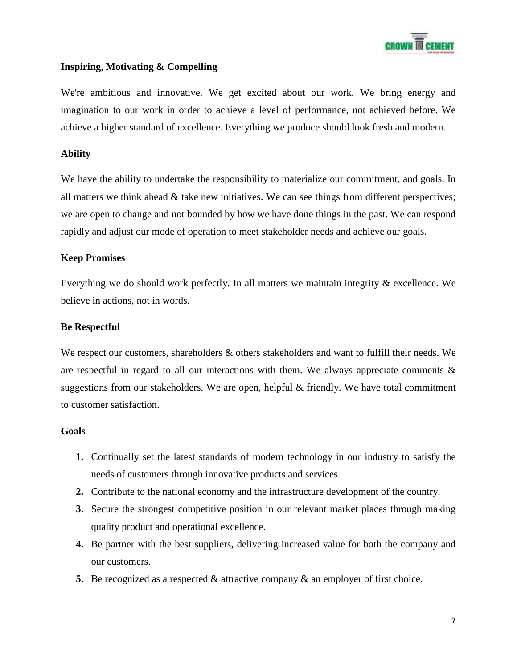

#### **Inspiring, Motivating & Compelling**

We're ambitious and innovative. We get excited about our work. We bring energy and imagination to our work in order to achieve a level of performance, not achieved before. We achieve a higher standard of excellence. Everything we produce should look fresh and modern.

#### **Ability**

We have the ability to undertake the responsibility to materialize our commitment, and goals. In all matters we think ahead  $&$  take new initiatives. We can see things from different perspectives; we are open to change and not bounded by how we have done things in the past. We can respond rapidly and adjust our mode of operation to meet stakeholder needs and achieve our goals.

#### **Keep Promises**

Everything we do should work perfectly. In all matters we maintain integrity & excellence. We believe in actions, not in words.

#### **Be Respectful**

We respect our customers, shareholders  $\&$  others stakeholders and want to fulfill their needs. We are respectful in regard to all our interactions with them. We always appreciate comments  $\&$ suggestions from our stakeholders. We are open, helpful & friendly. We have total commitment to customer satisfaction.

#### **Goals**

- **1.** Continually set the latest standards of modern technology in our industry to satisfy the needs of customers through innovative products and services.
- **2.** Contribute to the national economy and the infrastructure development of the country.
- **3.** Secure the strongest competitive position in our relevant market places through making quality product and operational excellence.
- **4.** Be partner with the best suppliers, delivering increased value for both the company and our customers.
- **5.** Be recognized as a respected & attractive company & an employer of first choice.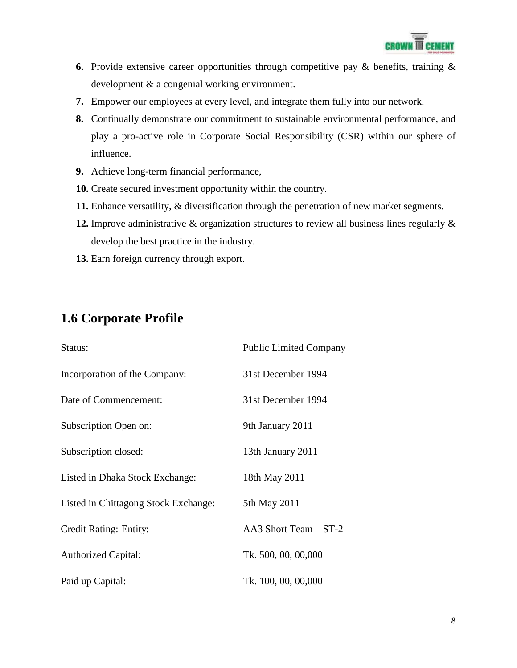- **6.** Provide extensive career opportunities through competitive pay & benefits, training & development & a congenial working environment.
- **7.** Empower our employees at every level, and integrate them fully into our network.
- **8.** Continually demonstrate our commitment to sustainable environmental performance, and play a pro-active role in Corporate Social Responsibility (CSR) within our sphere of influence.
- **9.** Achieve long-term financial performance,
- **10.** Create secured investment opportunity within the country.
- **11.** Enhance versatility, & diversification through the penetration of new market segments.
- **12.** Improve administrative & organization structures to review all business lines regularly & develop the best practice in the industry.
- **13.** Earn foreign currency through export.

# **1.6 Corporate Profile**

| Status:                              | <b>Public Limited Company</b> |
|--------------------------------------|-------------------------------|
| Incorporation of the Company:        | 31st December 1994            |
| Date of Commencement:                | 31st December 1994            |
| Subscription Open on:                | 9th January 2011              |
| Subscription closed:                 | 13th January 2011             |
| Listed in Dhaka Stock Exchange:      | 18th May 2011                 |
| Listed in Chittagong Stock Exchange: | 5th May 2011                  |
| Credit Rating: Entity:               | AA3 Short Team – ST-2         |
| <b>Authorized Capital:</b>           | Tk. 500, 00, 00,000           |
| Paid up Capital:                     | Tk. 100, 00, 00,000           |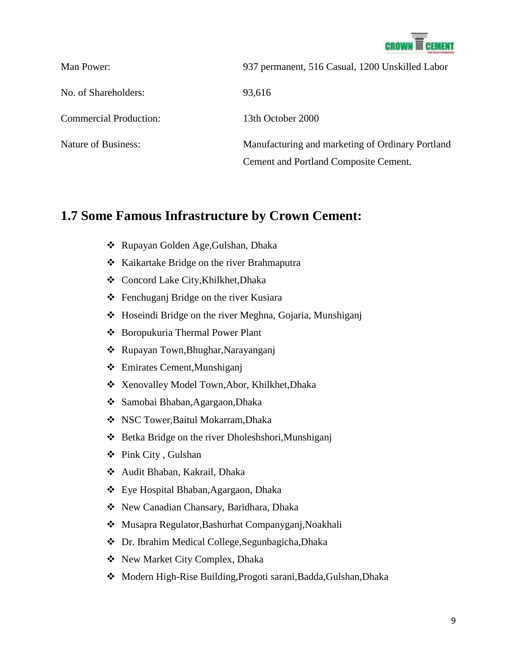

| Man Power:                    | 937 permanent, 516 Casual, 1200 Unskilled Labor  |
|-------------------------------|--------------------------------------------------|
| No. of Shareholders:          | 93,616                                           |
| <b>Commercial Production:</b> | 13th October 2000                                |
| Nature of Business:           | Manufacturing and marketing of Ordinary Portland |
|                               | Cement and Portland Composite Cement.            |

# **1.7 Some Famous Infrastructure by Crown Cement:**

- Rupayan Golden Age,Gulshan, Dhaka
- \* Kaikartake Bridge on the river Brahmaputra
- Concord Lake City,Khilkhet,Dhaka
- Fenchuganj Bridge on the river Kusiara
- Hoseindi Bridge on the river Meghna, Gojaria, Munshiganj
- Boropukuria Thermal Power Plant
- Rupayan Town,Bhughar,Narayanganj
- Emirates Cement,Munshiganj
- Xenovalley Model Town,Abor, Khilkhet,Dhaka
- Samobai Bhaban,Agargaon,Dhaka
- NSC Tower,Baitul Mokarram,Dhaka
- Betka Bridge on the river Dholeshshori,Munshiganj
- Pink City , Gulshan
- Audit Bhaban, Kakrail, Dhaka
- Eye Hospital Bhaban,Agargaon, Dhaka
- New Canadian Chansary, Baridhara, Dhaka
- Musapra Regulator,Bashurhat Companyganj,Noakhali
- Dr. Ibrahim Medical College,Segunbagicha,Dhaka
- New Market City Complex, Dhaka
- Modern High-Rise Building,Progoti sarani,Badda,Gulshan,Dhaka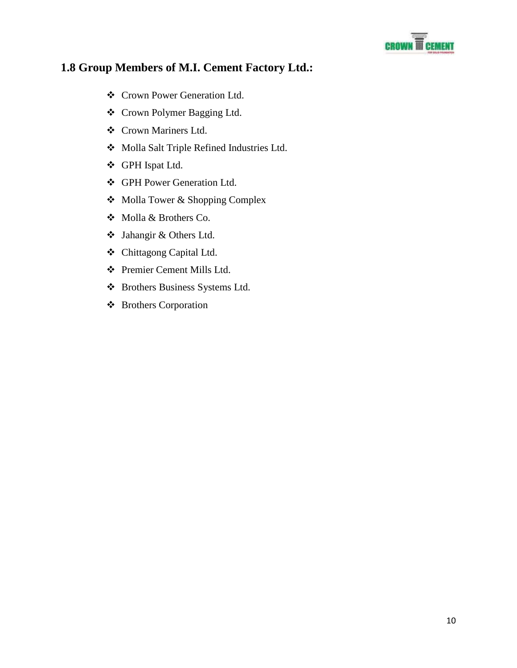

# **1.8 Group Members of M.I. Cement Factory Ltd.:**

- Crown Power Generation Ltd.
- Crown Polymer Bagging Ltd.
- Crown Mariners Ltd.
- Molla Salt Triple Refined Industries Ltd.
- GPH Ispat Ltd.
- GPH Power Generation Ltd.
- Molla Tower & Shopping Complex
- Molla & Brothers Co.
- Jahangir & Others Ltd.
- Chittagong Capital Ltd.
- Premier Cement Mills Ltd.
- Brothers Business Systems Ltd.
- Brothers Corporation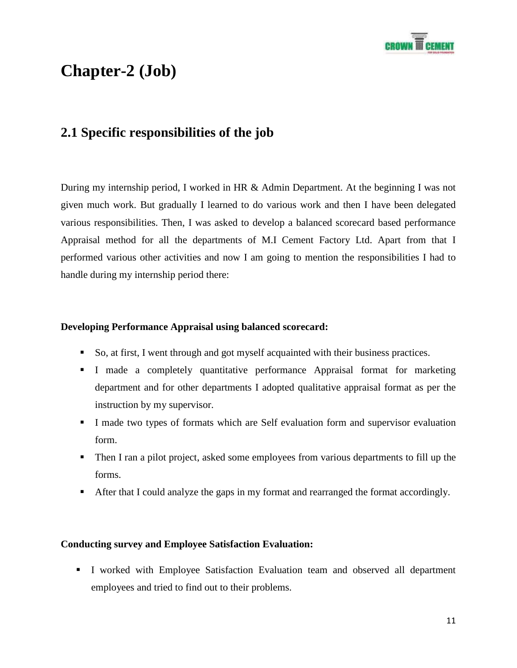

# **Chapter-2 (Job)**

# **2.1 Specific responsibilities of the job**

During my internship period, I worked in HR & Admin Department. At the beginning I was not given much work. But gradually I learned to do various work and then I have been delegated various responsibilities. Then, I was asked to develop a balanced scorecard based performance Appraisal method for all the departments of M.I Cement Factory Ltd. Apart from that I performed various other activities and now I am going to mention the responsibilities I had to handle during my internship period there:

#### **Developing Performance Appraisal using balanced scorecard:**

- So, at first, I went through and got myself acquainted with their business practices.
- I made a completely quantitative performance Appraisal format for marketing department and for other departments I adopted qualitative appraisal format as per the instruction by my supervisor.
- I made two types of formats which are Self evaluation form and supervisor evaluation form.
- Then I ran a pilot project, asked some employees from various departments to fill up the forms.
- After that I could analyze the gaps in my format and rearranged the format accordingly.

#### **Conducting survey and Employee Satisfaction Evaluation:**

 I worked with Employee Satisfaction Evaluation team and observed all department employees and tried to find out to their problems.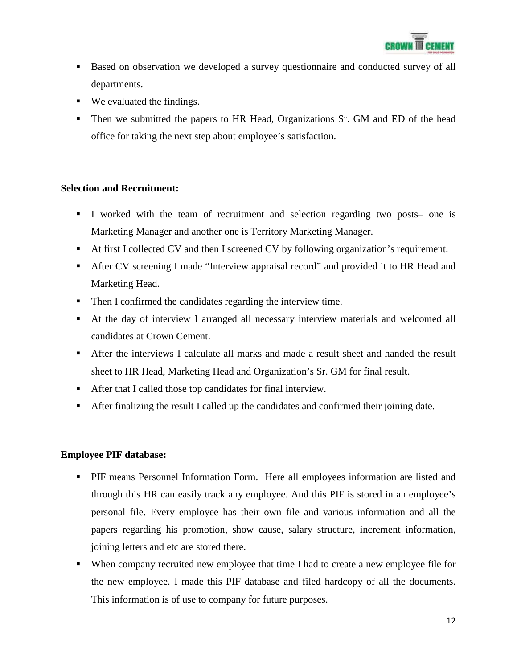- **Based on observation we developed a survey questionnaire and conducted survey of all** departments.
- We evaluated the findings.
- Then we submitted the papers to HR Head, Organizations Sr. GM and ED of the head office for taking the next step about employee's satisfaction.

#### **Selection and Recruitment:**

- I worked with the team of recruitment and selection regarding two posts– one is Marketing Manager and another one is Territory Marketing Manager.
- At first I collected CV and then I screened CV by following organization's requirement.
- After CV screening I made "Interview appraisal record" and provided it to HR Head and Marketing Head.
- Then I confirmed the candidates regarding the interview time.
- At the day of interview I arranged all necessary interview materials and welcomed all candidates at Crown Cement.
- After the interviews I calculate all marks and made a result sheet and handed the result sheet to HR Head, Marketing Head and Organization's Sr. GM for final result.
- After that I called those top candidates for final interview.
- After finalizing the result I called up the candidates and confirmed their joining date.

#### **Employee PIF database:**

- PIF means Personnel Information Form. Here all employees information are listed and through this HR can easily track any employee. And this PIF is stored in an employee's personal file. Every employee has their own file and various information and all the papers regarding his promotion, show cause, salary structure, increment information, joining letters and etc are stored there.
- When company recruited new employee that time I had to create a new employee file for the new employee. I made this PIF database and filed hardcopy of all the documents. This information is of use to company for future purposes.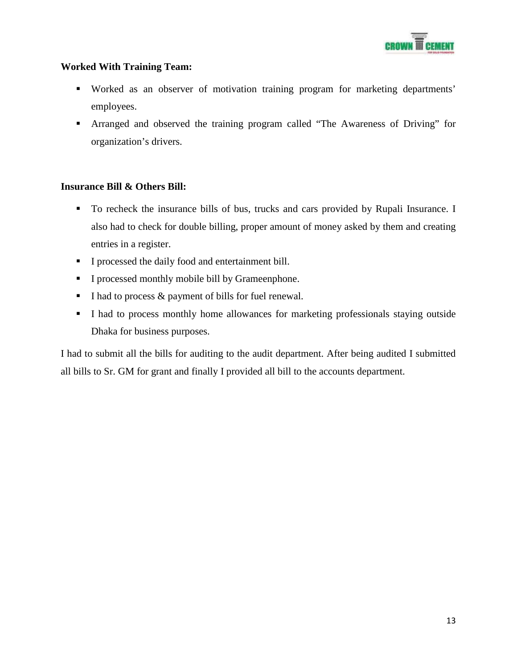

#### **Worked With Training Team:**

- Worked as an observer of motivation training program for marketing departments' employees.
- Arranged and observed the training program called "The Awareness of Driving" for organization's drivers.

#### **Insurance Bill & Others Bill:**

- To recheck the insurance bills of bus, trucks and cars provided by Rupali Insurance. I also had to check for double billing, proper amount of money asked by them and creating entries in a register.
- I processed the daily food and entertainment bill.
- I processed monthly mobile bill by Grameenphone.
- I had to process  $&$  payment of bills for fuel renewal.
- I had to process monthly home allowances for marketing professionals staying outside Dhaka for business purposes.

I had to submit all the bills for auditing to the audit department. After being audited I submitted all bills to Sr. GM for grant and finally I provided all bill to the accounts department.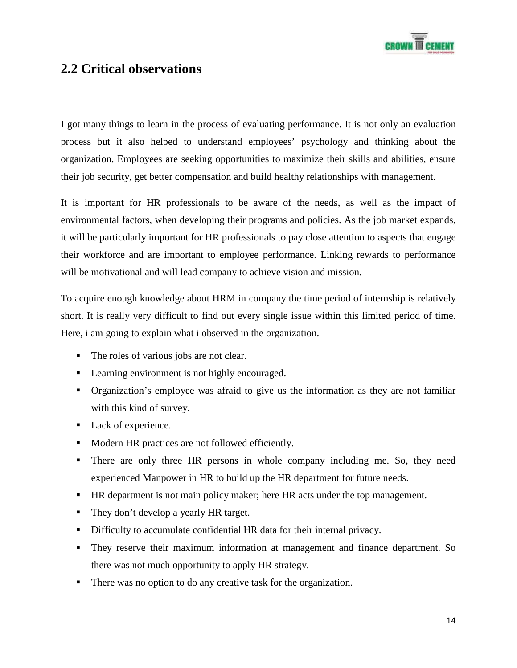

## **2.2 Critical observations**

I got many things to learn in the process of evaluating performance. It is not only an evaluation process but it also helped to understand employees' psychology and thinking about the organization. Employees are seeking opportunities to maximize their skills and abilities, ensure their job security, get better compensation and build healthy relationships with management.

It is important for HR professionals to be aware of the needs, as well as the impact of environmental factors, when developing their programs and policies. As the job market expands, it will be particularly important for HR professionals to pay close attention to aspects that engage their workforce and are important to employee performance. Linking rewards to performance will be motivational and will lead company to achieve vision and mission.

To acquire enough knowledge about HRM in company the time period of internship is relatively short. It is really very difficult to find out every single issue within this limited period of time. Here, i am going to explain what i observed in the organization.

- The roles of various jobs are not clear.
- **Learning environment is not highly encouraged.**
- Organization's employee was afraid to give us the information as they are not familiar with this kind of survey.
- Lack of experience.
- **Modern HR practices are not followed efficiently.**
- There are only three HR persons in whole company including me. So, they need experienced Manpower in HR to build up the HR department for future needs.
- HR department is not main policy maker; here HR acts under the top management.
- They don't develop a yearly HR target.
- Difficulty to accumulate confidential HR data for their internal privacy.
- They reserve their maximum information at management and finance department. So there was not much opportunity to apply HR strategy.
- There was no option to do any creative task for the organization.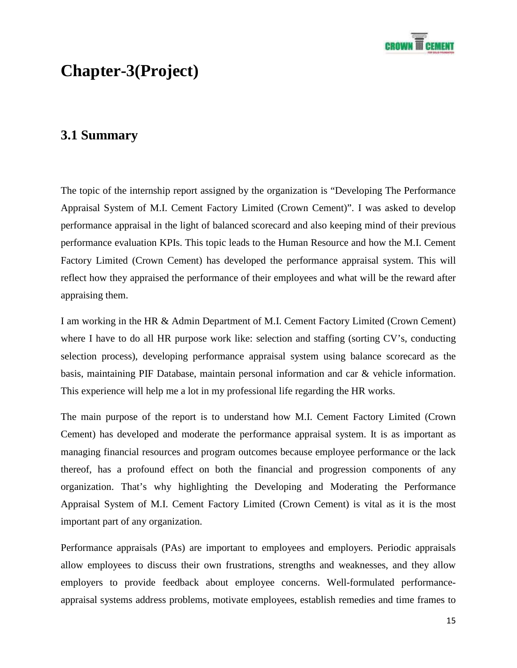

# **Chapter-3(Project)**

## **3.1 Summary**

The topic of the internship report assigned by the organization is "Developing The Performance Appraisal System of M.I. Cement Factory Limited (Crown Cement)". I was asked to develop performance appraisal in the light of balanced scorecard and also keeping mind of their previous performance evaluation KPIs. This topic leads to the Human Resource and how the M.I. Cement Factory Limited (Crown Cement) has developed the performance appraisal system. This will reflect how they appraised the performance of their employees and what will be the reward after appraising them.

I am working in the HR & Admin Department of M.I. Cement Factory Limited (Crown Cement) where I have to do all HR purpose work like: selection and staffing (sorting CV's, conducting selection process), developing performance appraisal system using balance scorecard as the basis, maintaining PIF Database, maintain personal information and car & vehicle information. This experience will help me a lot in my professional life regarding the HR works.

The main purpose of the report is to understand how M.I. Cement Factory Limited (Crown Cement) has developed and moderate the performance appraisal system. It is as important as managing financial resources and program outcomes because employee performance or the lack thereof, has a profound effect on both the financial and progression components of any organization. That's why highlighting the Developing and Moderating the Performance Appraisal System of M.I. Cement Factory Limited (Crown Cement) is vital as it is the most important part of any organization.

Performance appraisals (PAs) are important to employees and employers. Periodic appraisals allow employees to discuss their own frustrations, strengths and weaknesses, and they allow employers to provide feedback about employee concerns. Well-formulated performanceappraisal systems address problems, motivate employees, establish remedies and time frames to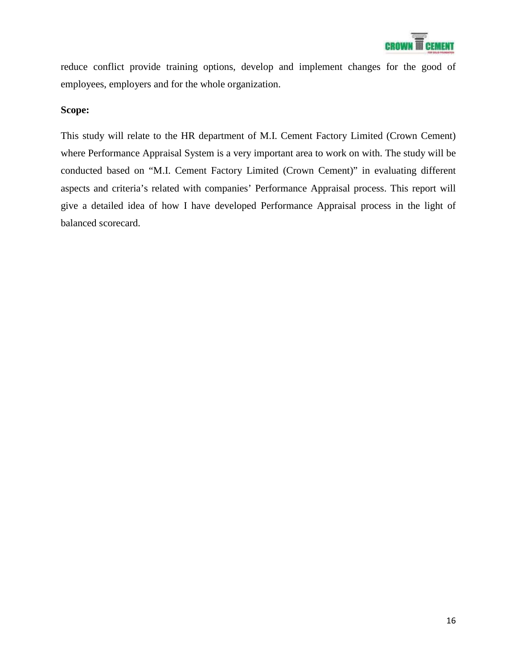reduce conflict provide training options, develop and implement changes for the good of employees, employers and for the whole organization.

#### **Scope:**

This study will relate to the HR department of M.I. Cement Factory Limited (Crown Cement) where Performance Appraisal System is a very important area to work on with. The study will be conducted based on "M.I. Cement Factory Limited (Crown Cement)" in evaluating different aspects and criteria's related with companies' Performance Appraisal process. This report will give a detailed idea of how I have developed Performance Appraisal process in the light of balanced scorecard.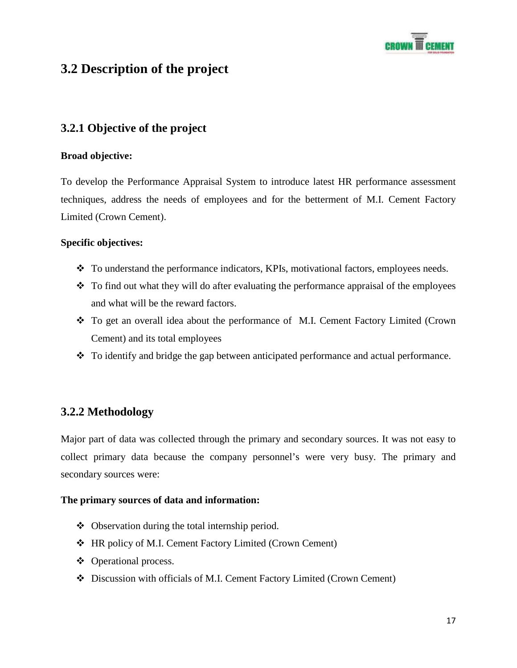

## **3.2 Description of the project**

## **3.2.1 Objective of the project**

#### **Broad objective:**

To develop the Performance Appraisal System to introduce latest HR performance assessment techniques, address the needs of employees and for the betterment of M.I. Cement Factory Limited (Crown Cement).

#### **Specific objectives:**

- To understand the performance indicators, KPIs, motivational factors, employees needs.
- $\cdot \cdot$  To find out what they will do after evaluating the performance appraisal of the employees and what will be the reward factors.
- \* To get an overall idea about the performance of M.I. Cement Factory Limited (Crown Cement) and its total employees
- \* To identify and bridge the gap between anticipated performance and actual performance.

## **3.2.2 Methodology**

Major part of data was collected through the primary and secondary sources. It was not easy to collect primary data because the company personnel's were very busy. The primary and secondary sources were:

#### **The primary sources of data and information:**

- Observation during the total internship period.
- HR policy of M.I. Cement Factory Limited (Crown Cement)
- Operational process.
- Discussion with officials of M.I. Cement Factory Limited (Crown Cement)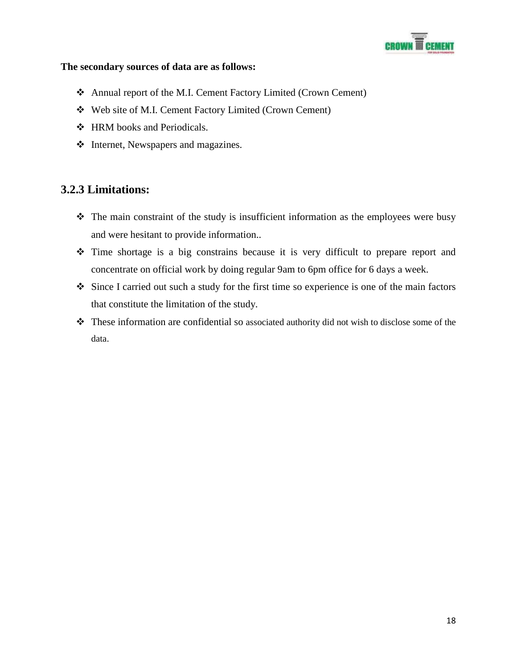

#### **The secondary sources of data are as follows:**

- Annual report of the M.I. Cement Factory Limited (Crown Cement)
- Web site of M.I. Cement Factory Limited (Crown Cement)
- HRM books and Periodicals.
- ❖ Internet, Newspapers and magazines.

#### **3.2.3 Limitations:**

- $\hat{\mathbf{v}}$  The main constraint of the study is insufficient information as the employees were busy and were hesitant to provide information..
- Time shortage is a big constrains because it is very difficult to prepare report and concentrate on official work by doing regular 9am to 6pm office for 6 days a week.
- Since I carried out such a study for the first time so experience is one of the main factors that constitute the limitation of the study.
- These information are confidential so associated authority did not wish to disclose some of the data.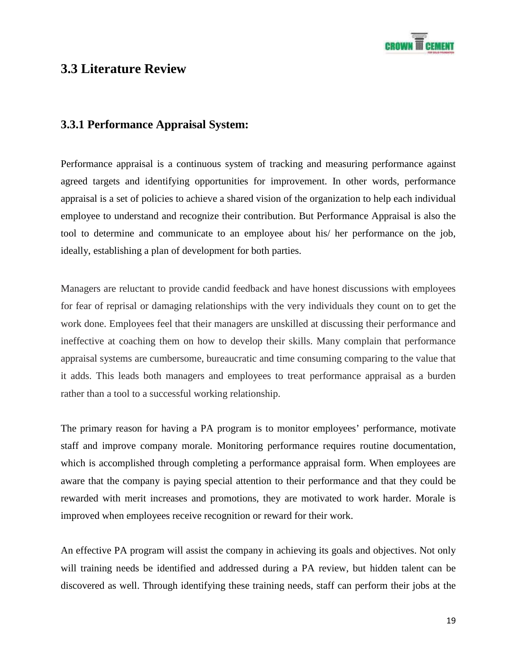

## **3.3 Literature Review**

#### **3.3.1 Performance Appraisal System:**

Performance appraisal is a continuous system of tracking and measuring performance against agreed targets and identifying opportunities for improvement. In other words, performance appraisal is a set of policies to achieve a shared vision of the organization to help each individual employee to understand and recognize their contribution. But Performance Appraisal is also the tool to determine and communicate to an employee about his/ her performance on the job, ideally, establishing a plan of development for both parties.

Managers are reluctant to provide candid feedback and have honest discussions with employees for fear of reprisal or damaging relationships with the very individuals they count on to get the work done. Employees feel that their managers are unskilled at discussing their performance and ineffective at coaching them on how to develop their skills. Many complain that performance appraisal systems are cumbersome, bureaucratic and time consuming comparing to the value that it adds. This leads both managers and employees to treat performance appraisal as a burden rather than a tool to a successful working relationship.

The primary reason for having a PA program is to monitor employees' performance, motivate staff and improve company morale. Monitoring performance requires routine documentation, which is accomplished through completing a performance appraisal form. When employees are aware that the company is paying special attention to their performance and that they could be rewarded with merit increases and promotions, they are motivated to work harder. Morale is improved when employees receive recognition or reward for their work.

An effective PA program will assist the company in achieving its goals and objectives. Not only will training needs be identified and addressed during a PA review, but hidden talent can be discovered as well. Through identifying these training needs, staff can perform their jobs at the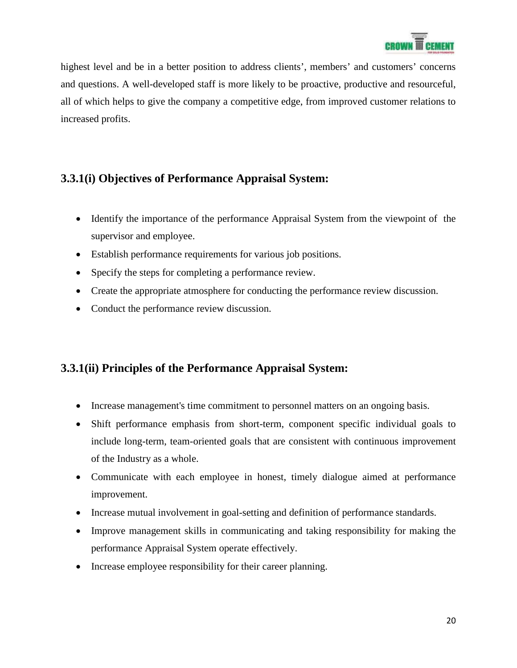

highest level and be in a better position to address clients', members' and customers' concerns and questions. A well-developed staff is more likely to be proactive, productive and resourceful, all of which helps to give the company a competitive edge, from improved customer relations to increased profits.

## **3.3.1(i) Objectives of Performance Appraisal System:**

- Identify the importance of the performance Appraisal System from the viewpoint of the supervisor and employee.
- Establish performance requirements for various job positions.
- Specify the steps for completing a performance review.
- Create the appropriate atmosphere for conducting the performance review discussion.
- Conduct the performance review discussion.

## **3.3.1(ii) Principles of the Performance Appraisal System:**

- Increase management's time commitment to personnel matters on an ongoing basis.
- Shift performance emphasis from short-term, component specific individual goals to include long-term, team-oriented goals that are consistent with continuous improvement of the Industry as a whole.
- Communicate with each employee in honest, timely dialogue aimed at performance improvement.
- Increase mutual involvement in goal-setting and definition of performance standards.
- Improve management skills in communicating and taking responsibility for making the performance Appraisal System operate effectively.
- Increase employee responsibility for their career planning.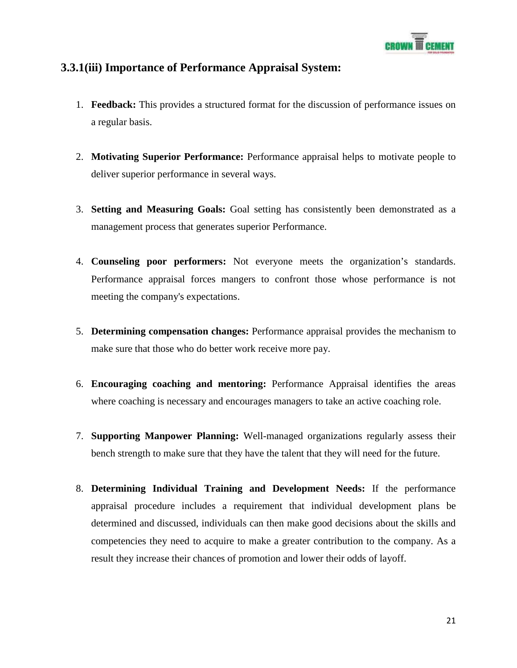

#### **3.3.1(iii) Importance of Performance Appraisal System:**

- 1. **Feedback:** This provides a structured format for the discussion of performance issues on a regular basis.
- 2. **Motivating Superior Performance:** Performance appraisal helps to motivate people to deliver superior performance in several ways.
- 3. **Setting and Measuring Goals:** Goal setting has consistently been demonstrated as a management process that generates superior Performance.
- 4. **Counseling poor performers:** Not everyone meets the organization's standards. Performance appraisal forces mangers to confront those whose performance is not meeting the company's expectations.
- 5. **Determining compensation changes:** Performance appraisal provides the mechanism to make sure that those who do better work receive more pay.
- 6. **Encouraging coaching and mentoring:** Performance Appraisal identifies the areas where coaching is necessary and encourages managers to take an active coaching role.
- 7. **Supporting Manpower Planning:** Well-managed organizations regularly assess their bench strength to make sure that they have the talent that they will need for the future.
- 8. **Determining Individual Training and Development Needs:** If the performance appraisal procedure includes a requirement that individual development plans be determined and discussed, individuals can then make good decisions about the skills and competencies they need to acquire to make a greater contribution to the company. As a result they increase their chances of promotion and lower their odds of layoff.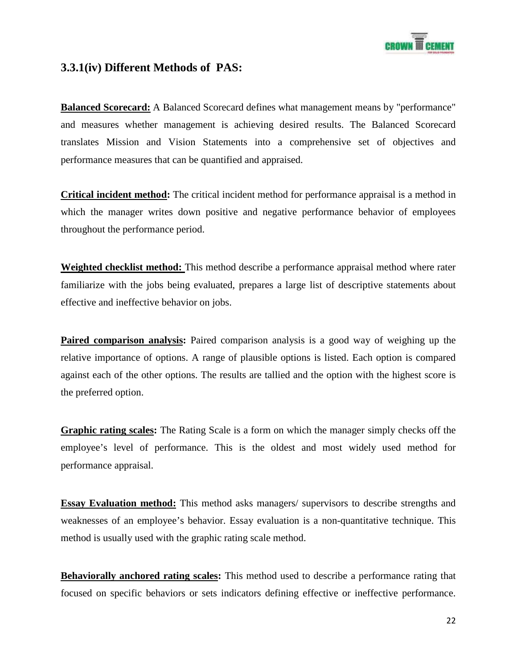

## **3.3.1(iv) Different Methods of PAS:**

**Balanced Scorecard:** A Balanced Scorecard defines what management means by "performance" and measures whether management is achieving desired results. The Balanced Scorecard translates Mission and Vision Statements into a comprehensive set of objectives and performance measures that can be quantified and appraised.

**[Critical incident method:](http://www.humanresources.hrvinet.com/critical-incident-method-of-performance-appraisal/)** The critical incident method for performance appraisal is a method in which the manager writes down positive and negative performance behavior of employees throughout the performance period.

**[Weighted checklist](http://www.humanresources.hrvinet.com/weighted-checklist/) method:** This method describe a performance appraisal method where rater familiarize with the jobs being evaluated, prepares a large list of descriptive statements about effective and ineffective behavior on jobs.

**[Paired comparison analysis:](http://www.humanresources.hrvinet.com/paired-comparison-analysis/)** Paired comparison analysis is a good way of weighing up the relative importance of options. A range of plausible options is listed. Each option is compared against each of the other options. The results are tallied and the option with the highest score is the preferred option.

**[Graphic rating scales:](http://www.humanresources.hrvinet.com/graphic-rating-scales/)** The Rating Scale is a form on which the manager simply checks off the employee's level of performance. This is the oldest and most widely used method for performance appraisal.

**[Essay Evaluation](http://www.humanresources.hrvinet.com/essay-evaluation/) method:** This method asks managers/ supervisors to describe strengths and weaknesses of an employee's behavior. Essay evaluation is a non-quantitative technique. This method is usually used with the graphic rating scale method.

**[Behaviorally anchored rating scales:](http://www.humanresources.hrvinet.com/behaviorally-anchored-rating-scales-bars/)** This method used to describe a performance rating that focused on specific behaviors or sets indicators defining effective or ineffective performance.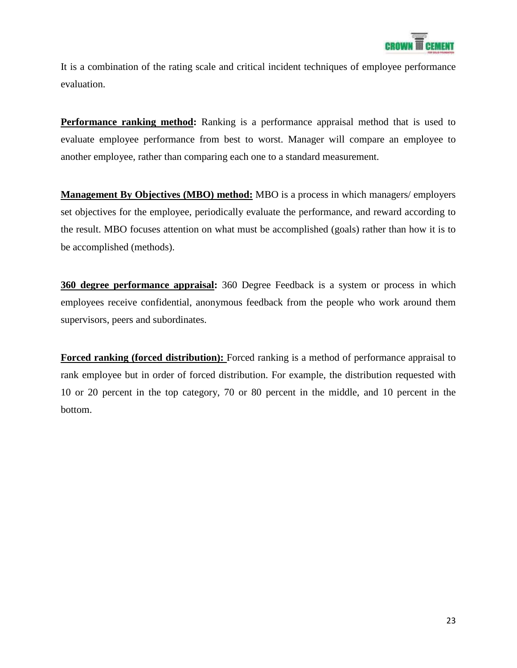

It is a combination of the rating scale and critical incident techniques of employee performance evaluation.

**[Performance ranking method:](http://www.humanresources.hrvinet.com/performance-ranking/)** Ranking is a performance appraisal method that is used to evaluate employee performance from best to worst. Manager will compare an employee to another employee, rather than comparing each one to a standard measurement.

**[Management By Objectives](http://www.humanresources.hrvinet.com/management-by-objectives-mbo/) (MBO) method:** MBO is a process in which managers/ employers set objectives for the employee, periodically evaluate the performance, and reward according to the result. MBO focuses attention on what must be accomplished (goals) rather than how it is to be accomplished (methods).

**[360 degree performance appraisal:](http://www.humanresources.hrvinet.com/360-degree-performance-appraisal/)** 360 Degree Feedback is a system or process in which employees receive confidential, anonymous feedback from the people who work around them supervisors, peers and subordinates.

**[Forced ranking](http://www.humanresources.hrvinet.com/forced-ranking-forced-distribution/) (forced distribution):** Forced ranking is a method of performance appraisal to rank employee but in order of forced distribution. For example, the distribution requested with 10 or 20 percent in the top category, 70 or 80 percent in the middle, and 10 percent in the bottom.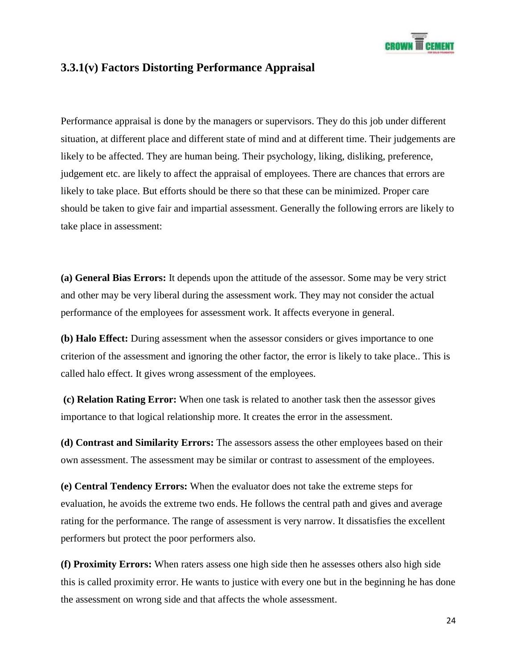

### **3.3.1(v) Factors Distorting Performance Appraisal**

Performance appraisal is done by the managers or supervisors. They do this job under different situation, at different place and different state of mind and at different time. Their judgements are likely to be affected. They are human being. Their psychology, liking, disliking, preference, judgement etc. are likely to affect the appraisal of employees. There are chances that errors are likely to take place. But efforts should be there so that these can be minimized. Proper care should be taken to give fair and impartial assessment. Generally the following errors are likely to take place in assessment:

**(a) General Bias Errors:** It depends upon the attitude of the assessor. Some may be very strict and other may be very liberal during the assessment work. They may not consider the actual performance of the employees for assessment work. It affects everyone in general.

**(b) Halo Effect:** During assessment when the assessor considers or gives importance to one criterion of the assessment and ignoring the other factor, the error is likely to take place.. This is called halo effect. It gives wrong assessment of the employees.

**(c) Relation Rating Error:** When one task is related to another task then the assessor gives importance to that logical relationship more. It creates the error in the assessment.

**(d) Contrast and Similarity Errors:** The assessors assess the other employees based on their own assessment. The assessment may be similar or contrast to assessment of the employees.

**(e) Central Tendency Errors:** When the evaluator does not take the extreme steps for evaluation, he avoids the extreme two ends. He follows the central path and gives and average rating for the performance. The range of assessment is very narrow. It dissatisfies the excellent performers but protect the poor performers also.

**(f) Proximity Errors:** When raters assess one high side then he assesses others also high side this is called proximity error. He wants to justice with every one but in the beginning he has done the assessment on wrong side and that affects the whole assessment.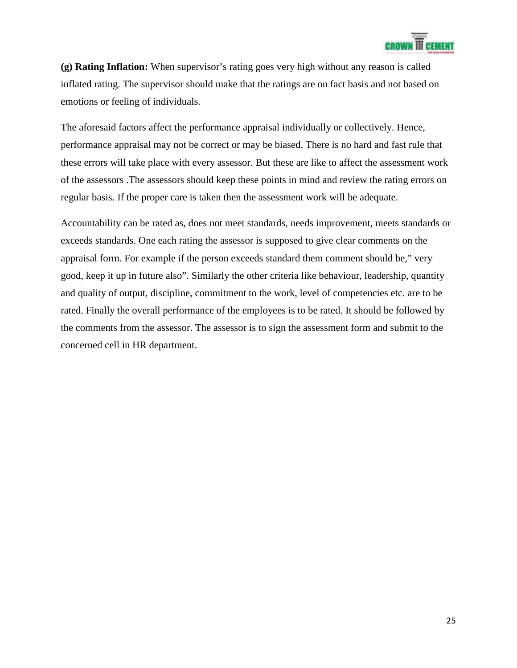

**(g) Rating Inflation:** When supervisor's rating goes very high without any reason is called inflated rating. The supervisor should make that the ratings are on fact basis and not based on emotions or feeling of individuals.

The aforesaid factors affect the performance appraisal individually or collectively. Hence, performance appraisal may not be correct or may be biased. There is no hard and fast rule that these errors will take place with every assessor. But these are like to affect the assessment work of the assessors .The assessors should keep these points in mind and review the rating errors on regular basis. If the proper care is taken then the assessment work will be adequate.

Accountability can be rated as, does not meet standards, needs improvement, meets standards or exceeds standards. One each rating the assessor is supposed to give clear comments on the appraisal form. For example if the person exceeds standard them comment should be," very good, keep it up in future also". Similarly the other criteria like behaviour, leadership, quantity and quality of output, discipline, commitment to the work, level of competencies etc. are to be rated. Finally the overall performance of the employees is to be rated. It should be followed by the comments from the assessor. The assessor is to sign the assessment form and submit to the concerned cell in HR department.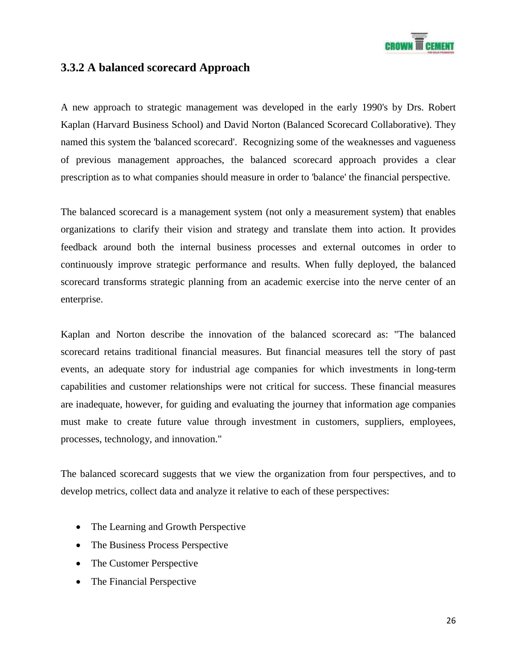

#### **3.3.2 A balanced scorecard Approach**

A new approach to strategic management was developed in the early 1990's by Drs. Robert Kaplan (Harvard Business School) and David Norton (Balanced Scorecard Collaborative). They named this system the 'balanced scorecard'. Recognizing some of the weaknesses and vagueness of previous management approaches, the balanced scorecard approach provides a clear prescription as to what companies should measure in order to 'balance' the financial perspective.

The balanced scorecard is a management system (not only a measurement system) that enables organizations to clarify their vision and strategy and translate them into action. It provides feedback around both the internal business processes and external outcomes in order to continuously improve strategic performance and results. When fully deployed, the balanced scorecard transforms strategic planning from an academic exercise into the nerve center of an enterprise.

Kaplan and Norton describe the innovation of the balanced scorecard as: "The balanced scorecard retains traditional financial measures. But financial measures tell the story of past events, an adequate story for industrial age companies for which investments in long-term capabilities and customer relationships were not critical for success. These financial measures are inadequate, however, for guiding and evaluating the journey that information age companies must make to create future value through investment in customers, suppliers, employees, processes, technology, and innovation."

The balanced scorecard suggests that we view the organization from four perspectives, and to develop metrics, collect data and analyze it relative to each of these perspectives:

- The Learning and Growth Perspective
- The Business Process Perspective
- The Customer Perspective
- The Financial Perspective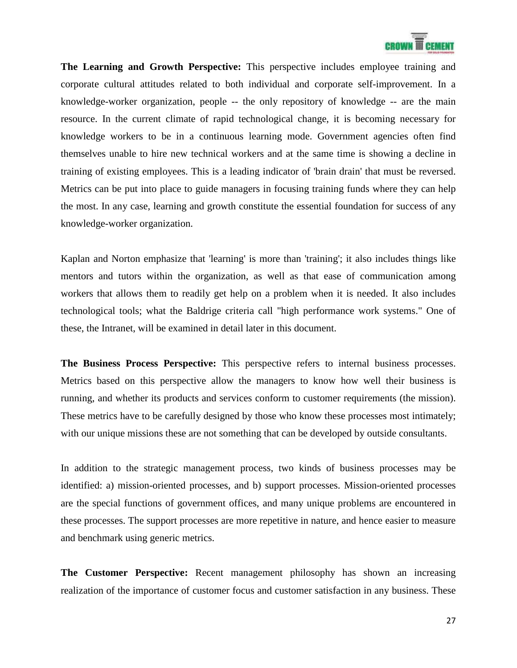

**The Learning and Growth Perspective:** This perspective includes employee training and corporate cultural attitudes related to both individual and corporate self-improvement. In a knowledge-worker organization, people -- the only repository of knowledge -- are the main resource. In the current climate of rapid technological change, it is becoming necessary for knowledge workers to be in a continuous learning mode. Government agencies often find themselves unable to hire new technical workers and at the same time is showing a decline in training of existing employees. This is a leading indicator of 'brain drain' that must be reversed. Metrics can be put into place to guide managers in focusing training funds where they can help the most. In any case, learning and growth constitute the essential foundation for success of any knowledge-worker organization.

Kaplan and Norton emphasize that 'learning' is more than 'training'; it also includes things like mentors and tutors within the organization, as well as that ease of communication among workers that allows them to readily get help on a problem when it is needed. It also includes technological tools; what the Baldrige criteria call "high performance work systems." One of these, the Intranet, will be examined in detail later in this document.

**The Business Process Perspective:** This perspective refers to internal business processes. Metrics based on this perspective allow the managers to know how well their business is running, and whether its products and services conform to customer requirements (the mission). These metrics have to be carefully designed by those who know these processes most intimately; with our unique missions these are not something that can be developed by outside consultants.

In addition to the strategic management process, two kinds of business processes may be identified: a) mission-oriented processes, and b) support processes. Mission-oriented processes are the special functions of government offices, and many unique problems are encountered in these processes. The support processes are more repetitive in nature, and hence easier to measure and benchmark using generic metrics.

**The Customer Perspective:** Recent management philosophy has shown an increasing realization of the importance of customer focus and customer satisfaction in any business. These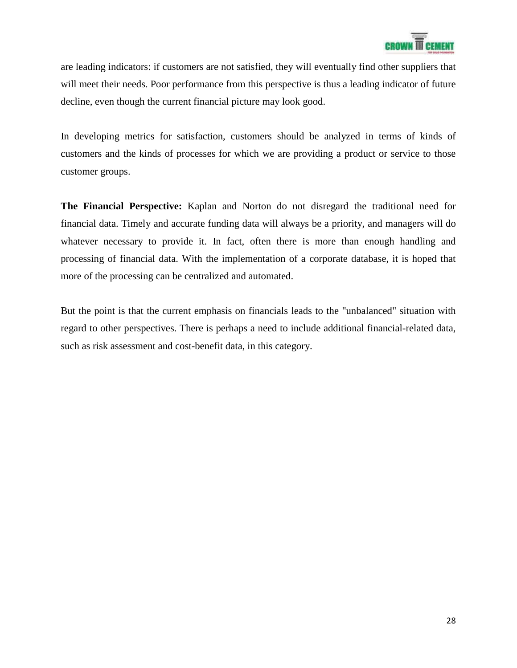

are leading indicators: if customers are not satisfied, they will eventually find other suppliers that will meet their needs. Poor performance from this perspective is thus a leading indicator of future decline, even though the current financial picture may look good.

In developing metrics for satisfaction, customers should be analyzed in terms of kinds of customers and the kinds of processes for which we are providing a product or service to those customer groups.

**The Financial Perspective:** Kaplan and Norton do not disregard the traditional need for financial data. Timely and accurate funding data will always be a priority, and managers will do whatever necessary to provide it. In fact, often there is more than enough handling and processing of financial data. With the implementation of a corporate database, it is hoped that more of the processing can be centralized and automated.

But the point is that the current emphasis on financials leads to the "unbalanced" situation with regard to other perspectives. There is perhaps a need to include additional financial-related data, such as risk assessment and cost-benefit data, in this category.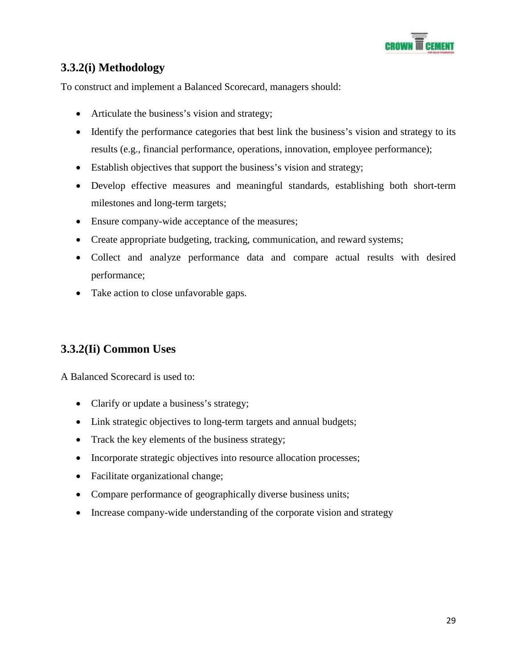

## **3.3.2(i) Methodology**

To construct and implement a Balanced Scorecard, managers should:

- Articulate the business's vision and strategy;
- Identify the performance categories that best link the business's vision and strategy to its results (e.g., financial performance, operations, innovation, employee performance);
- Establish objectives that support the business's vision and strategy;
- Develop effective measures and meaningful standards, establishing both short-term milestones and long-term targets;
- Ensure company-wide acceptance of the measures;
- Create appropriate budgeting, tracking, communication, and reward systems;
- Collect and analyze performance data and compare actual results with desired performance;
- Take action to close unfavorable gaps.

## **3.3.2(Ii) Common Uses**

A Balanced Scorecard is used to:

- Clarify or update a business's strategy;
- Link strategic objectives to long-term targets and annual budgets;
- Track the key elements of the business strategy;
- Incorporate strategic objectives into resource allocation processes;
- Facilitate organizational change;
- Compare performance of geographically diverse business units;
- Increase company-wide understanding of the corporate vision and strategy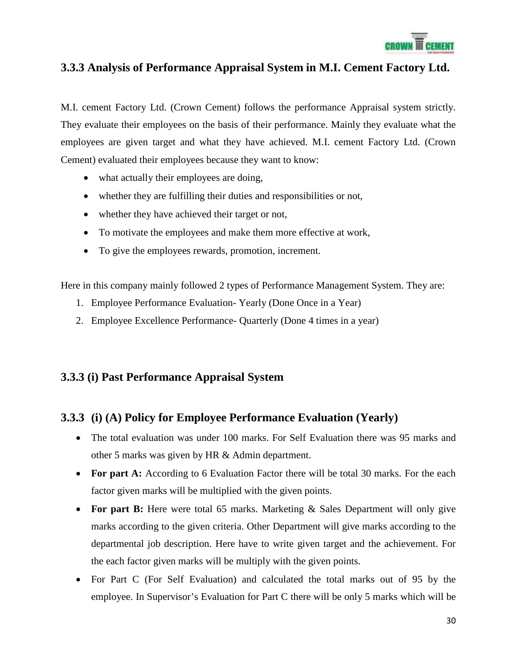

### **3.3.3 Analysis of Performance Appraisal System in M.I. Cement Factory Ltd.**

M.I. cement Factory Ltd. (Crown Cement) follows the performance Appraisal system strictly. They evaluate their employees on the basis of their performance. Mainly they evaluate what the employees are given target and what they have achieved. M.I. cement Factory Ltd. (Crown Cement) evaluated their employees because they want to know:

- what actually their employees are doing,
- whether they are fulfilling their duties and responsibilities or not,
- whether they have achieved their target or not,
- To motivate the employees and make them more effective at work,
- To give the employees rewards, promotion, increment.

Here in this company mainly followed 2 types of Performance Management System. They are:

- 1. Employee Performance Evaluation- Yearly (Done Once in a Year)
- 2. Employee Excellence Performance- Quarterly (Done 4 times in a year)

### **3.3.3 (i) Past Performance Appraisal System**

#### **3.3.3 (i) (A) Policy for Employee Performance Evaluation (Yearly)**

- The total evaluation was under 100 marks. For Self Evaluation there was 95 marks and other 5 marks was given by HR & Admin department.
- For part A: According to 6 Evaluation Factor there will be total 30 marks. For the each factor given marks will be multiplied with the given points.
- For part B: Here were total 65 marks. Marketing & Sales Department will only give marks according to the given criteria. Other Department will give marks according to the departmental job description. Here have to write given target and the achievement. For the each factor given marks will be multiply with the given points.
- For Part C (For Self Evaluation) and calculated the total marks out of 95 by the employee. In Supervisor's Evaluation for Part C there will be only 5 marks which will be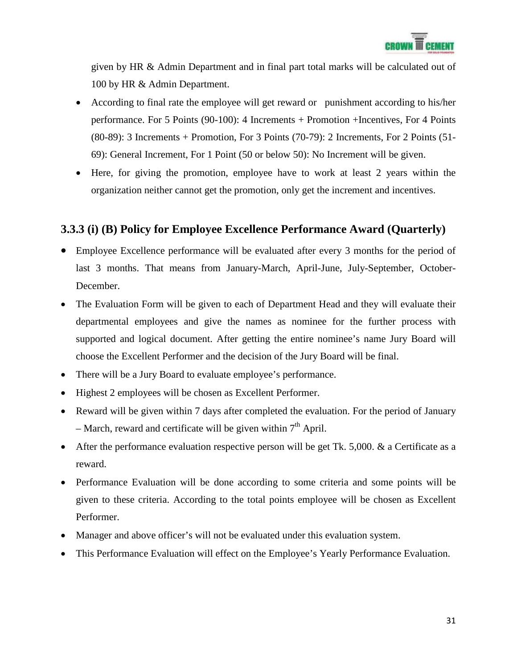given by HR & Admin Department and in final part total marks will be calculated out of 100 by HR & Admin Department.

- According to final rate the employee will get reward or punishment according to his/her performance. For 5 Points (90-100): 4 Increments + Promotion +Incentives, For 4 Points (80-89): 3 Increments + Promotion, For 3 Points (70-79): 2 Increments, For 2 Points (51- 69): General Increment, For 1 Point (50 or below 50): No Increment will be given.
- Here, for giving the promotion, employee have to work at least 2 years within the organization neither cannot get the promotion, only get the increment and incentives.

## **3.3.3 (i) (B) Policy for Employee Excellence Performance Award (Quarterly)**

- Employee Excellence performance will be evaluated after every 3 months for the period of last 3 months. That means from January-March, April-June, July-September, October-December.
- The Evaluation Form will be given to each of Department Head and they will evaluate their departmental employees and give the names as nominee for the further process with supported and logical document. After getting the entire nominee's name Jury Board will choose the Excellent Performer and the decision of the Jury Board will be final.
- There will be a Jury Board to evaluate employee's performance.
- Highest 2 employees will be chosen as Excellent Performer.
- Reward will be given within 7 days after completed the evaluation. For the period of January – March, reward and certificate will be given within  $7<sup>th</sup>$  April.
- After the performance evaluation respective person will be get Tk. 5,000.  $\&$  a Certificate as a reward.
- Performance Evaluation will be done according to some criteria and some points will be given to these criteria. According to the total points employee will be chosen as Excellent Performer.
- Manager and above officer's will not be evaluated under this evaluation system.
- This Performance Evaluation will effect on the Employee's Yearly Performance Evaluation.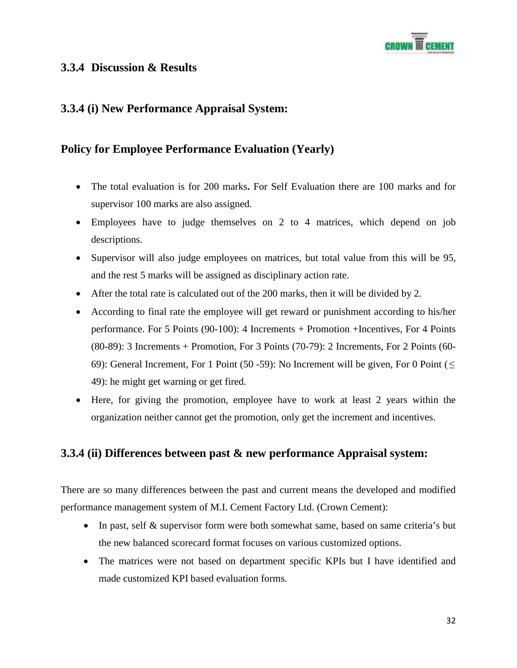

#### **3.3.4 Discussion & Results**

## **3.3.4 (i) New Performance Appraisal System:**

#### **Policy for Employee Performance Evaluation (Yearly)**

- The total evaluation is for 200 marks**.** For Self Evaluation there are 100 marks and for supervisor 100 marks are also assigned.
- Employees have to judge themselves on 2 to 4 matrices, which depend on job descriptions.
- Supervisor will also judge employees on matrices, but total value from this will be 95, and the rest 5 marks will be assigned as disciplinary action rate.
- After the total rate is calculated out of the 200 marks, then it will be divided by 2.
- According to final rate the employee will get reward or punishment according to his/her performance. For 5 Points (90-100): 4 Increments + Promotion +Incentives, For 4 Points (80-89): 3 Increments + Promotion, For 3 Points (70-79): 2 Increments, For 2 Points (60- 69): General Increment, For 1 Point (50 -59): No Increment will be given, For 0 Point ( $\leq$ 49): he might get warning or get fired.
- Here, for giving the promotion, employee have to work at least 2 years within the organization neither cannot get the promotion, only get the increment and incentives.

## **3.3.4 (ii) Differences between past & new performance Appraisal system:**

There are so many differences between the past and current means the developed and modified performance management system of M.I. Cement Factory Ltd. (Crown Cement):

- In past, self & supervisor form were both somewhat same, based on same criteria's but the new balanced scorecard format focuses on various customized options.
- The matrices were not based on department specific KPIs but I have identified and made customized KPI based evaluation forms.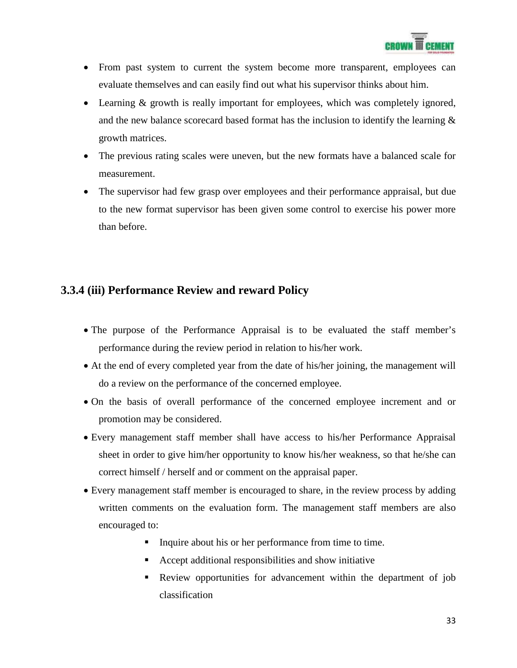

- From past system to current the system become more transparent, employees can evaluate themselves and can easily find out what his supervisor thinks about him.
- Learning & growth is really important for employees, which was completely ignored, and the new balance scorecard based format has the inclusion to identify the learning & growth matrices.
- The previous rating scales were uneven, but the new formats have a balanced scale for measurement.
- The supervisor had few grasp over employees and their performance appraisal, but due to the new format supervisor has been given some control to exercise his power more than before.

#### **3.3.4 (iii) Performance Review and reward Policy**

- The purpose of the Performance Appraisal is to be evaluated the staff member's performance during the review period in relation to his/her work.
- At the end of every completed year from the date of his/her joining, the management will do a review on the performance of the concerned employee.
- On the basis of overall performance of the concerned employee increment and or promotion may be considered.
- Every management staff member shall have access to his/her Performance Appraisal sheet in order to give him/her opportunity to know his/her weakness, so that he/she can correct himself / herself and or comment on the appraisal paper.
- Every management staff member is encouraged to share, in the review process by adding written comments on the evaluation form. The management staff members are also encouraged to:
	- Inquire about his or her performance from time to time.
	- Accept additional responsibilities and show initiative
	- Review opportunities for advancement within the department of job classification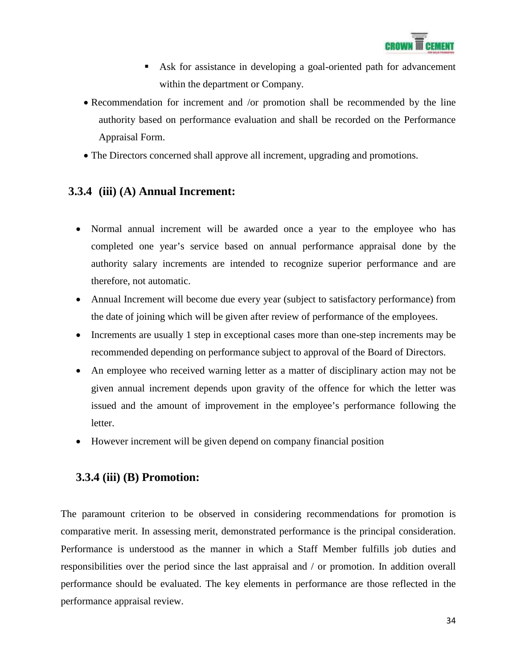- Ask for assistance in developing a goal-oriented path for advancement within the department or Company.
- Recommendation for increment and /or promotion shall be recommended by the line authority based on performance evaluation and shall be recorded on the Performance Appraisal Form.
- The Directors concerned shall approve all increment, upgrading and promotions.

## **3.3.4 (iii) (A) Annual Increment:**

- Normal annual increment will be awarded once a year to the employee who has completed one year's service based on annual performance appraisal done by the authority salary increments are intended to recognize superior performance and are therefore, not automatic.
- Annual Increment will become due every year (subject to satisfactory performance) from the date of joining which will be given after review of performance of the employees.
- Increments are usually 1 step in exceptional cases more than one-step increments may be recommended depending on performance subject to approval of the Board of Directors.
- An employee who received warning letter as a matter of disciplinary action may not be given annual increment depends upon gravity of the offence for which the letter was issued and the amount of improvement in the employee's performance following the letter.
- However increment will be given depend on company financial position

## **3.3.4 (iii) (B) Promotion:**

The paramount criterion to be observed in considering recommendations for promotion is comparative merit. In assessing merit, demonstrated performance is the principal consideration. Performance is understood as the manner in which a Staff Member fulfills job duties and responsibilities over the period since the last appraisal and / or promotion. In addition overall performance should be evaluated. The key elements in performance are those reflected in the performance appraisal review.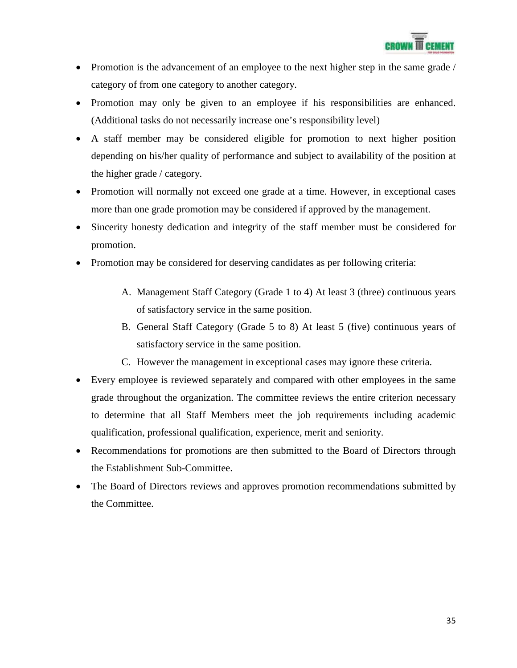- Promotion is the advancement of an employee to the next higher step in the same grade / category of from one category to another category.
- Promotion may only be given to an employee if his responsibilities are enhanced. (Additional tasks do not necessarily increase one's responsibility level)
- A staff member may be considered eligible for promotion to next higher position depending on his/her quality of performance and subject to availability of the position at the higher grade / category.
- Promotion will normally not exceed one grade at a time. However, in exceptional cases more than one grade promotion may be considered if approved by the management.
- Sincerity honesty dedication and integrity of the staff member must be considered for promotion.
- Promotion may be considered for deserving candidates as per following criteria:
	- A. Management Staff Category (Grade 1 to 4) At least 3 (three) continuous years of satisfactory service in the same position.
	- B. General Staff Category (Grade 5 to 8) At least 5 (five) continuous years of satisfactory service in the same position.
	- C. However the management in exceptional cases may ignore these criteria.
- Every employee is reviewed separately and compared with other employees in the same grade throughout the organization. The committee reviews the entire criterion necessary to determine that all Staff Members meet the job requirements including academic qualification, professional qualification, experience, merit and seniority.
- Recommendations for promotions are then submitted to the Board of Directors through the Establishment Sub-Committee.
- The Board of Directors reviews and approves promotion recommendations submitted by the Committee.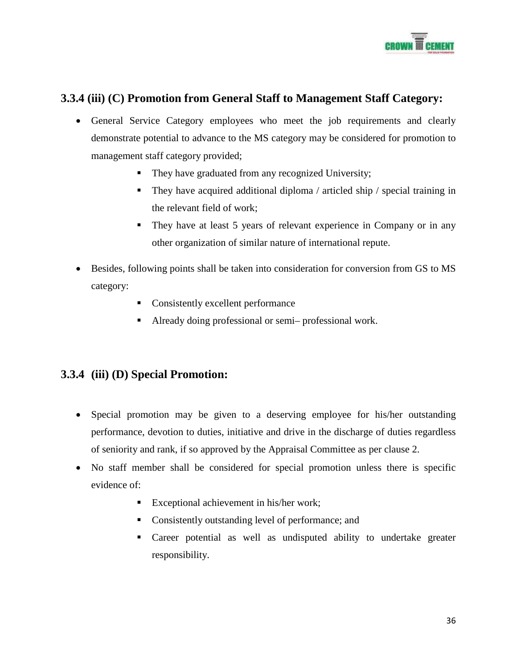

## **3.3.4 (iii) (C) Promotion from General Staff to Management Staff Category:**

- General Service Category employees who meet the job requirements and clearly demonstrate potential to advance to the MS category may be considered for promotion to management staff category provided;
	- They have graduated from any recognized University;
	- They have acquired additional diploma / articled ship / special training in the relevant field of work;
	- They have at least 5 years of relevant experience in Company or in any other organization of similar nature of international repute.
- Besides, following points shall be taken into consideration for conversion from GS to MS category:
	- Consistently excellent performance
	- Already doing professional or semi– professional work.

## **3.3.4 (iii) (D) Special Promotion:**

- Special promotion may be given to a deserving employee for his/her outstanding performance, devotion to duties, initiative and drive in the discharge of duties regardless of seniority and rank, if so approved by the Appraisal Committee as per clause 2.
- No staff member shall be considered for special promotion unless there is specific evidence of:
	- Exceptional achievement in his/her work;
	- **Consistently outstanding level of performance; and**
	- Career potential as well as undisputed ability to undertake greater responsibility.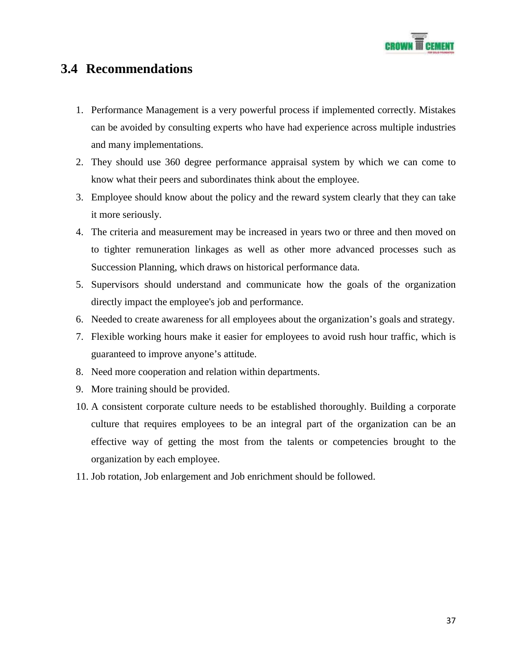

# **3.4 Recommendations**

- 1. Performance Management is a very powerful process if implemented correctly. Mistakes can be avoided by consulting experts who have had experience across multiple industries and many implementations.
- 2. They should use 360 degree performance appraisal system by which we can come to know what their peers and subordinates think about the employee.
- 3. Employee should know about the policy and the reward system clearly that they can take it more seriously.
- 4. The criteria and measurement may be increased in years two or three and then moved on to tighter remuneration linkages as well as other more advanced processes such as Succession Planning, which draws on historical performance data.
- 5. Supervisors should understand and communicate how the goals of the organization directly impact the employee's job and performance.
- 6. Needed to create awareness for all employees about the organization's goals and strategy.
- 7. Flexible working hours make it easier for employees to avoid rush hour traffic, which is guaranteed to improve anyone's attitude.
- 8. Need more cooperation and relation within departments.
- 9. More training should be provided.
- 10. A consistent corporate culture needs to be established thoroughly. Building a corporate culture that requires employees to be an integral part of the organization can be an effective way of getting the most from the talents or competencies brought to the organization by each employee.
- 11. Job rotation, Job enlargement and Job enrichment should be followed.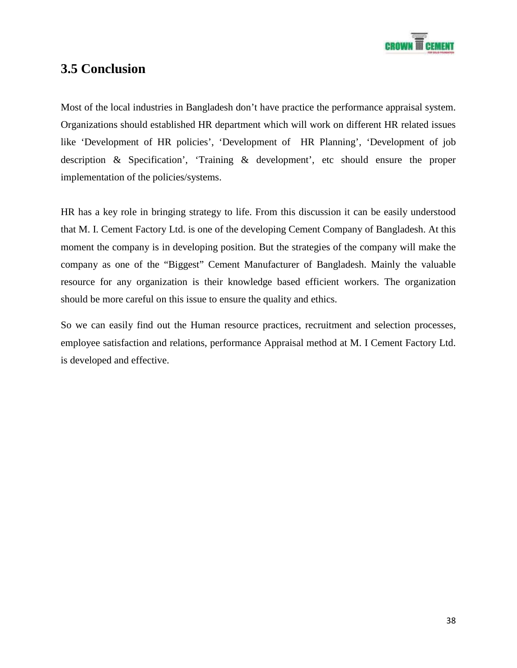

## **3.5 Conclusion**

Most of the local industries in Bangladesh don't have practice the performance appraisal system. Organizations should established HR department which will work on different HR related issues like 'Development of HR policies', 'Development of HR Planning', 'Development of job description & Specification', 'Training & development', etc should ensure the proper implementation of the policies/systems.

HR has a key role in bringing strategy to life. From this discussion it can be easily understood that M. I. Cement Factory Ltd. is one of the developing Cement Company of Bangladesh. At this moment the company is in developing position. But the strategies of the company will make the company as one of the "Biggest" Cement Manufacturer of Bangladesh. Mainly the valuable resource for any organization is their knowledge based efficient workers. The organization should be more careful on this issue to ensure the quality and ethics.

So we can easily find out the Human resource practices, recruitment and selection processes, employee satisfaction and relations, performance Appraisal method at M. I Cement Factory Ltd. is developed and effective.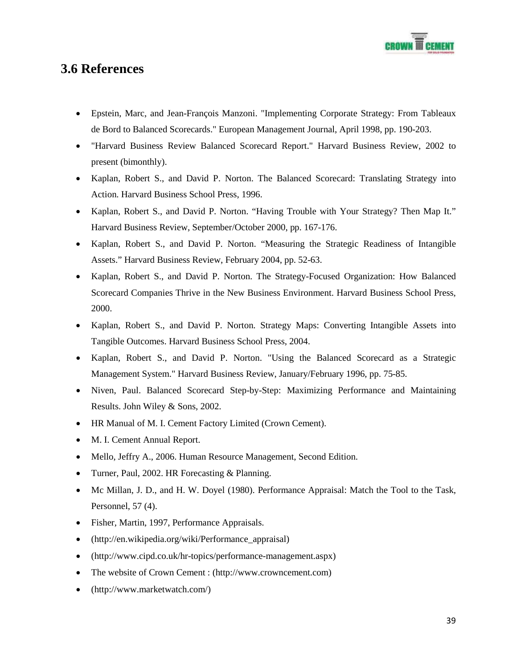

## **3.6 References**

- Epstein, Marc, and Jean-François Manzoni. "Implementing Corporate Strategy: From Tableaux de Bord to Balanced Scorecards." European Management Journal, April 1998, pp. 190-203.
- "Harvard Business Review Balanced Scorecard Report." Harvard Business Review, 2002 to present (bimonthly).
- Kaplan, Robert S., and David P. Norton. The Balanced Scorecard: Translating Strategy into Action. Harvard Business School Press, 1996.
- Kaplan, Robert S., and David P. Norton. "Having Trouble with Your Strategy? Then Map It." Harvard Business Review, September/October 2000, pp. 167-176.
- Kaplan, Robert S., and David P. Norton. "Measuring the Strategic Readiness of Intangible Assets." Harvard Business Review, February 2004, pp. 52-63.
- Kaplan, Robert S., and David P. Norton. The Strategy-Focused Organization: How Balanced Scorecard Companies Thrive in the New Business Environment. Harvard Business School Press, 2000.
- Kaplan, Robert S., and David P. Norton. Strategy Maps: Converting Intangible Assets into Tangible Outcomes. Harvard Business School Press, 2004.
- Kaplan, Robert S., and David P. Norton. "Using the Balanced Scorecard as a Strategic Management System." Harvard Business Review, January/February 1996, pp. 75-85.
- Niven, Paul. Balanced Scorecard Step-by-Step: Maximizing Performance and Maintaining Results. John Wiley & Sons, 2002.
- HR Manual of M. I. Cement Factory Limited (Crown Cement).
- M. I. Cement Annual Report.
- Mello, Jeffry A., 2006. Human Resource Management, Second Edition.
- Turner, Paul, 2002. HR Forecasting & Planning.
- Mc Millan, J. D., and H. W. Doyel (1980). Performance Appraisal: Match the Tool to the Task, Personnel, 57 (4).
- Fisher, Martin, 1997, Performance Appraisals.
- (http://en.wikipedia.org/wiki/Performance\_appraisal)
- (http://www.cipd.co.uk/hr-topics/performance-management.aspx)
- The website of Crown Cement : (http://www.crowncement.com)
- (http://www.marketwatch.com/)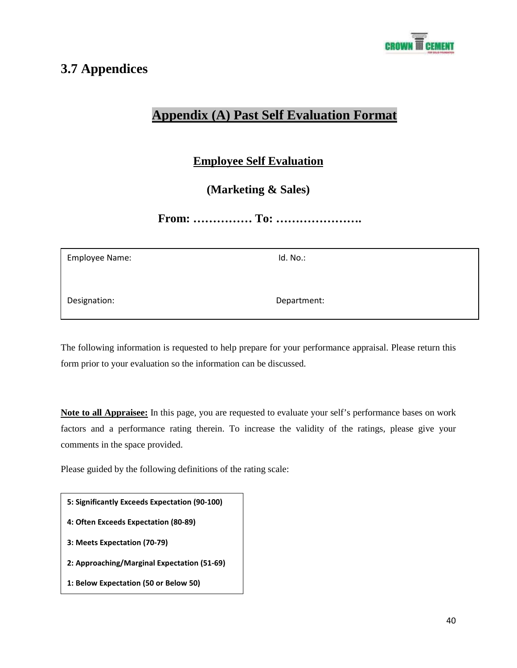

# **3.7 Appendices**

# **Appendix (A) Past Self Evaluation Format**

## **Employee Self Evaluation**

## **(Marketing & Sales)**

**From: …………… To: ………………….**

Employee Name: In the United States of the United States and Id. No.:

Designation: Designation: Department:

The following information is requested to help prepare for your performance appraisal. Please return this form prior to your evaluation so the information can be discussed.

Note to all Appraisee: In this page, you are requested to evaluate your self's performance bases on work factors and a performance rating therein. To increase the validity of the ratings, please give your comments in the space provided.

Please guided by the following definitions of the rating scale:

| 5: Significantly Exceeds Expectation (90-100) |
|-----------------------------------------------|
| 4: Often Exceeds Expectation (80-89)          |
| 3: Meets Expectation (70-79)                  |
| 2: Approaching/Marginal Expectation (51-69)   |
| 1: Below Expectation (50 or Below 50)         |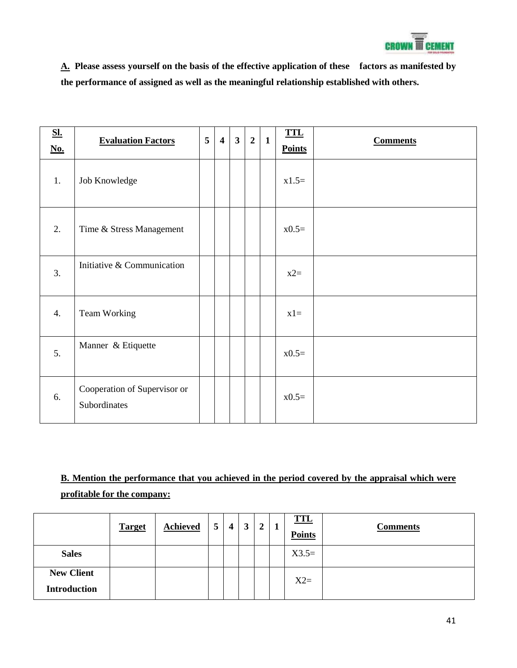

**A. Please assess yourself on the basis of the effective application of these factors as manifested by the performance of assigned as well as the meaningful relationship established with others.**

| <b>Sl.</b><br>$\underline{\mathrm{No}}$ . | <b>Evaluation Factors</b>                    | 5 | $\overline{\mathbf{4}}$ | $\overline{\mathbf{3}}$ | $\overline{2}$ | $\mathbf{1}$ | <b>TTL</b><br><b>Points</b> | <b>Comments</b> |
|-------------------------------------------|----------------------------------------------|---|-------------------------|-------------------------|----------------|--------------|-----------------------------|-----------------|
| 1.                                        | Job Knowledge                                |   |                         |                         |                |              | $x1.5=$                     |                 |
| 2.                                        | Time & Stress Management                     |   |                         |                         |                |              | $x0.5=$                     |                 |
| 3.                                        | Initiative & Communication                   |   |                         |                         |                |              | $x2=$                       |                 |
| 4.                                        | Team Working                                 |   |                         |                         |                |              | $x1=$                       |                 |
| 5.                                        | Manner & Etiquette                           |   |                         |                         |                |              | $x0.5=$                     |                 |
| 6.                                        | Cooperation of Supervisor or<br>Subordinates |   |                         |                         |                |              | $x0.5=$                     |                 |

# **B. Mention the performance that you achieved in the period covered by the appraisal which were profitable for the company:**

|                                          | <b>Target</b> | <b>Achieved</b> | $5\overline{)}$ | $\overline{4}$ | $\mathbf{3}$ | $\overline{2}$ | <b>TTL</b><br><b>Points</b> | <b>Comments</b> |
|------------------------------------------|---------------|-----------------|-----------------|----------------|--------------|----------------|-----------------------------|-----------------|
| <b>Sales</b>                             |               |                 |                 |                |              |                | $X3.5=$                     |                 |
| <b>New Client</b><br><b>Introduction</b> |               |                 |                 |                |              |                | $X2=$                       |                 |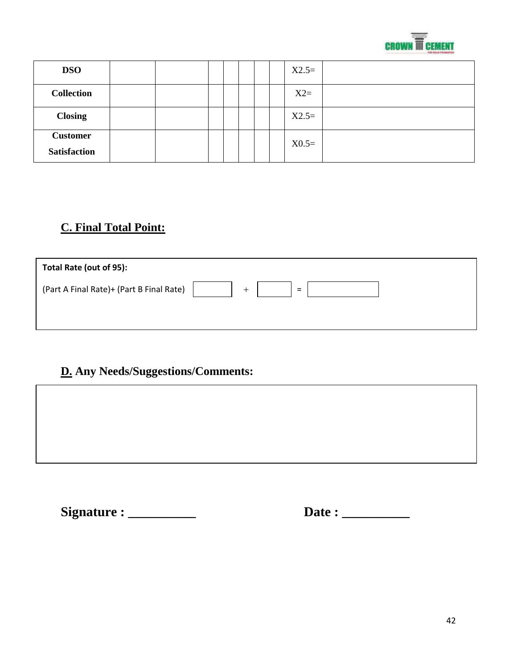

| <b>DSO</b>                             |  |  |  | $X2.5=$ |  |
|----------------------------------------|--|--|--|---------|--|
| <b>Collection</b>                      |  |  |  | $X2=$   |  |
| <b>Closing</b>                         |  |  |  | $X2.5=$ |  |
| <b>Customer</b><br><b>Satisfaction</b> |  |  |  | $X0.5=$ |  |

# **C. Final Total Point:**

| Total Rate (out of 95):                              |  |
|------------------------------------------------------|--|
| (Part A Final Rate)+ (Part B Final Rate)<br>$=$<br>∸ |  |
|                                                      |  |

# **D. Any Needs/Suggestions/Comments:**

**Signature : \_\_\_\_\_\_\_\_\_** 

| <b>Date :</b> |  |  |
|---------------|--|--|
|---------------|--|--|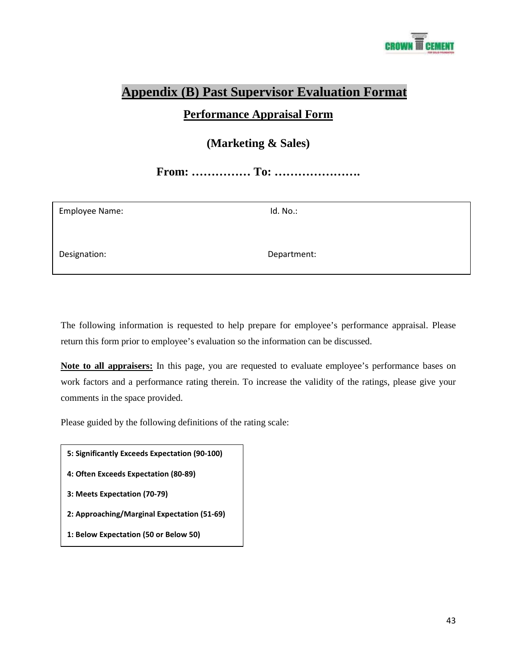

# **Appendix (B) Past Supervisor Evaluation Format**

### **Performance Appraisal Form**

**(Marketing & Sales)**

**From: …………… To: ………………….**

| Employee Name: | Id. No.: |
|----------------|----------|

Designation: Department:

The following information is requested to help prepare for employee's performance appraisal. Please return this form prior to employee's evaluation so the information can be discussed.

Note to all appraisers: In this page, you are requested to evaluate employee's performance bases on work factors and a performance rating therein. To increase the validity of the ratings, please give your comments in the space provided.

Please guided by the following definitions of the rating scale:

| 5: Significantly Exceeds Expectation (90-100) |
|-----------------------------------------------|
| 4: Often Exceeds Expectation (80-89)          |
| 3: Meets Expectation (70-79)                  |
| 2: Approaching/Marginal Expectation (51-69)   |
| 1: Below Expectation (50 or Below 50)         |
|                                               |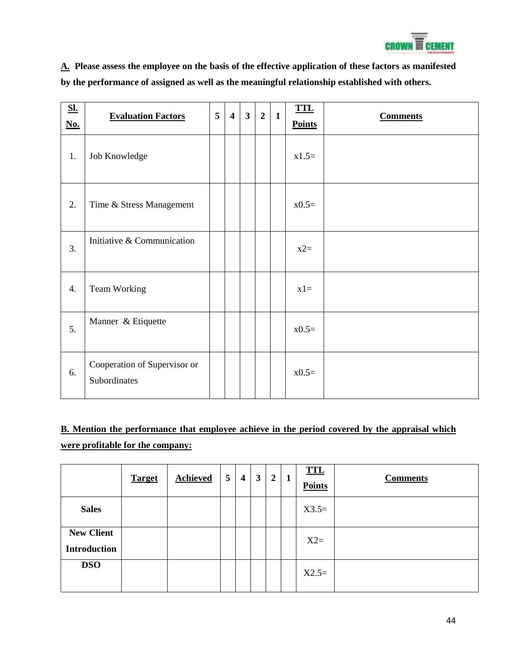

**A. Please assess the employee on the basis of the effective application of these factors as manifested by the performance of assigned as well as the meaningful relationship established with others.**

| <b>SI.</b><br>$\underline{\mathrm{No}}$ . | <b>Evaluation Factors</b>                    | 5 | $\overline{\mathbf{4}}$ | $\overline{\mathbf{3}}$ | $\overline{2}$ | $\mathbf{1}$ | <b>TTL</b><br><b>Points</b> | <b>Comments</b> |
|-------------------------------------------|----------------------------------------------|---|-------------------------|-------------------------|----------------|--------------|-----------------------------|-----------------|
| 1.                                        | Job Knowledge                                |   |                         |                         |                |              | $x1.5=$                     |                 |
| 2.                                        | Time & Stress Management                     |   |                         |                         |                |              | $x0.5=$                     |                 |
| 3.                                        | Initiative & Communication                   |   |                         |                         |                |              | $x2=$                       |                 |
| 4.                                        | Team Working                                 |   |                         |                         |                |              | $x1=$                       |                 |
| 5.                                        | Manner & Etiquette                           |   |                         |                         |                |              | $x0.5=$                     |                 |
| 6.                                        | Cooperation of Supervisor or<br>Subordinates |   |                         |                         |                |              | $x0.5=$                     |                 |

# **B. Mention the performance that employee achieve in the period covered by the appraisal which were profitable for the company:**

|                                          | <b>Target</b> | <b>Achieved</b> | $5\overline{)}$ | $\overline{\mathbf{4}}$ | 3 | $\boldsymbol{2}$ | $\mathbf{1}$ | <b>TTL</b><br><b>Points</b> | <b>Comments</b> |
|------------------------------------------|---------------|-----------------|-----------------|-------------------------|---|------------------|--------------|-----------------------------|-----------------|
| <b>Sales</b>                             |               |                 |                 |                         |   |                  |              | $X3.5=$                     |                 |
| <b>New Client</b><br><b>Introduction</b> |               |                 |                 |                         |   |                  |              | $X2=$                       |                 |
| <b>DSO</b>                               |               |                 |                 |                         |   |                  |              | $X2.5=$                     |                 |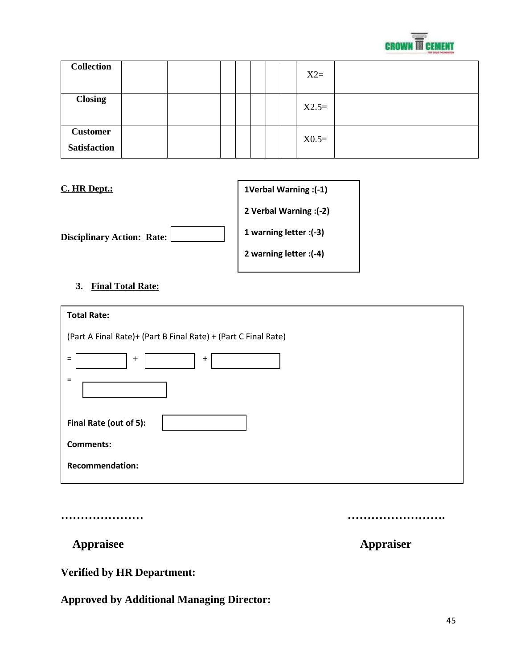

| <b>Collection</b>                      |  |  |  | $X2=$   |  |
|----------------------------------------|--|--|--|---------|--|
| <b>Closing</b>                         |  |  |  | $X2.5=$ |  |
| <b>Customer</b><br><b>Satisfaction</b> |  |  |  | $X0.5=$ |  |

| C. HR Dept.:                      | 1Verbal Warning : (-1)  |
|-----------------------------------|-------------------------|
|                                   | 2 Verbal Warning : (-2) |
| <b>Disciplinary Action: Rate:</b> | 1 warning letter : (-3) |
|                                   | 2 warning letter : (-4) |

## **3. Final Total Rate:**

| <b>Total Rate:</b>                                             |  |  |  |
|----------------------------------------------------------------|--|--|--|
| (Part A Final Rate)+ (Part B Final Rate) + (Part C Final Rate) |  |  |  |
| $^{+}$<br>$\ddot{}$<br>$=$                                     |  |  |  |
| $=$                                                            |  |  |  |
| Final Rate (out of 5):                                         |  |  |  |
| <b>Comments:</b>                                               |  |  |  |
| <b>Recommendation:</b>                                         |  |  |  |

**………………… …………………….**

**Appraisee Appraiser** 

**Verified by HR Department:**

**Approved by Additional Managing Director:**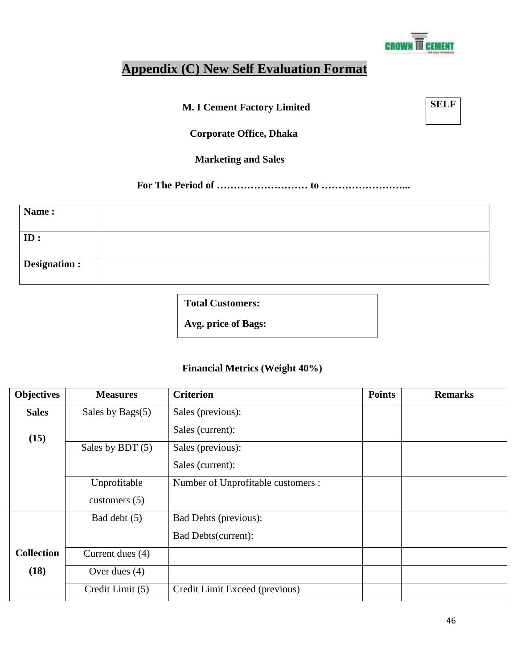

# **Appendix (C) New Self Evaluation Format**

**M. I Cement Factory Limited**

**SELF**

 **Corporate Office, Dhaka**

 **Marketing and Sales**

**For The Period of ……………………… to ……………………...**

| Name:               |  |
|---------------------|--|
| ID:                 |  |
| <b>Designation:</b> |  |

**Total Customers:**

**Avg. price of Bags:** 

## **Financial Metrics (Weight 40%)**

| <b>Objectives</b> | <b>Measures</b>     | <b>Criterion</b>                   | <b>Points</b> | <b>Remarks</b> |
|-------------------|---------------------|------------------------------------|---------------|----------------|
| <b>Sales</b>      | Sales by Bags $(5)$ | Sales (previous):                  |               |                |
| (15)              |                     | Sales (current):                   |               |                |
|                   | Sales by BDT $(5)$  | Sales (previous):                  |               |                |
|                   |                     | Sales (current):                   |               |                |
|                   | Unprofitable        | Number of Unprofitable customers : |               |                |
|                   | customers $(5)$     |                                    |               |                |
|                   | Bad debt (5)        | Bad Debts (previous):              |               |                |
|                   |                     | Bad Debts(current):                |               |                |
| <b>Collection</b> | Current dues (4)    |                                    |               |                |
| (18)              | Over dues $(4)$     |                                    |               |                |
|                   | Credit Limit (5)    | Credit Limit Exceed (previous)     |               |                |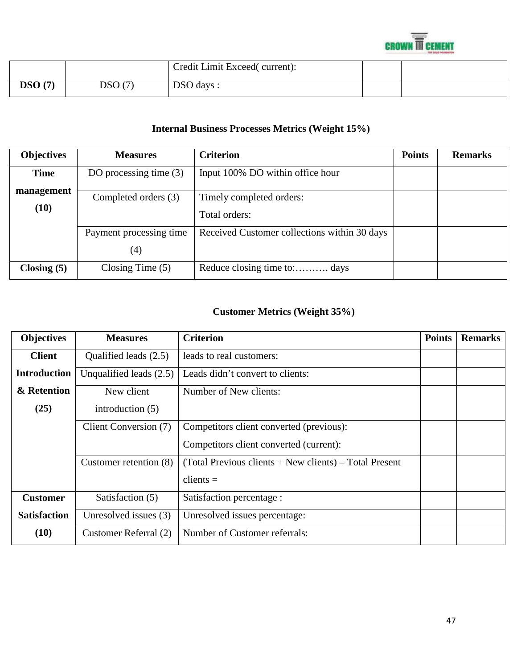

|        |        | Credit Limit Exceed (current): |  |
|--------|--------|--------------------------------|--|
| DSO(7) | DSO(7) | DSO days :                     |  |

## **Internal Business Processes Metrics (Weight 15%)**

| <b>Objectives</b>  | <b>Measures</b>                | <b>Criterion</b>                             | <b>Points</b> | <b>Remarks</b> |
|--------------------|--------------------------------|----------------------------------------------|---------------|----------------|
| <b>Time</b>        | DO processing time $(3)$       | Input 100% DO within office hour             |               |                |
| management<br>(10) | Completed orders (3)           | Timely completed orders:<br>Total orders:    |               |                |
|                    | Payment processing time<br>(4) | Received Customer collections within 30 days |               |                |
| Closing $(5)$      | Closing Time $(5)$             | Reduce closing time to: days                 |               |                |

# **Customer Metrics (Weight 35%)**

| <b>Objectives</b>   | <b>Measures</b>           | <b>Criterion</b>                                        | <b>Points</b> | <b>Remarks</b> |
|---------------------|---------------------------|---------------------------------------------------------|---------------|----------------|
| <b>Client</b>       | Qualified leads (2.5)     | leads to real customers:                                |               |                |
| <b>Introduction</b> | Unqualified leads $(2.5)$ | Leads didn't convert to clients:                        |               |                |
| & Retention         | New client                | Number of New clients:                                  |               |                |
| (25)                | introduction $(5)$        |                                                         |               |                |
|                     | Client Conversion (7)     | Competitors client converted (previous):                |               |                |
|                     |                           | Competitors client converted (current):                 |               |                |
|                     | Customer retention (8)    | $Total Previous clients + New clients) - Total Present$ |               |                |
|                     |                           | $clients =$                                             |               |                |
| <b>Customer</b>     | Satisfaction (5)          | Satisfaction percentage :                               |               |                |
| <b>Satisfaction</b> | Unresolved issues (3)     | Unresolved issues percentage:                           |               |                |
| (10)                | Customer Referral (2)     | Number of Customer referrals:                           |               |                |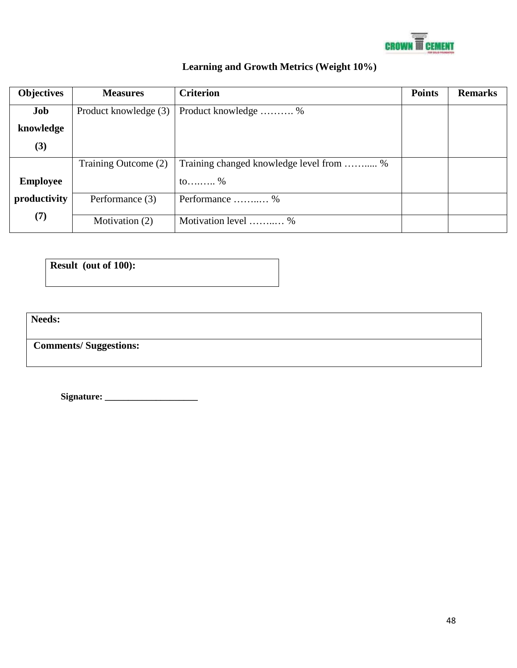

## **Learning and Growth Metrics (Weight 10%)**

| <b>Objectives</b> | <b>Measures</b>       | <b>Criterion</b>                         | <b>Points</b> | <b>Remarks</b> |
|-------------------|-----------------------|------------------------------------------|---------------|----------------|
| Job               | Product knowledge (3) | Product knowledge  %                     |               |                |
| knowledge         |                       |                                          |               |                |
| (3)               |                       |                                          |               |                |
|                   | Training Outcome (2)  | Training changed knowledge level from  % |               |                |
| <b>Employee</b>   |                       | to %                                     |               |                |
| productivity      | Performance (3)       | Performance  %                           |               |                |
| (7)               | Motivation (2)        | Motivation level  %                      |               |                |

**Result (out of 100):** 

**Needs: Comments/ Suggestions:**

**Signature: \_\_\_\_\_\_\_\_\_\_\_\_\_\_\_\_\_\_\_\_**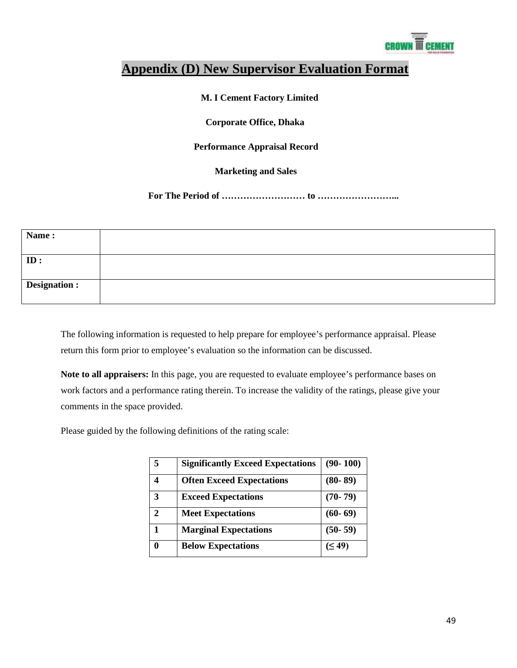

# **Appendix (D) New Supervisor Evaluation Format**

#### **M. I Cement Factory Limited**

 **Corporate Office, Dhaka**

 **Performance Appraisal Record**

 **Marketing and Sales**

**For The Period of ……………………… to ……………………...**

| Name:               |  |
|---------------------|--|
| ID:                 |  |
| <b>Designation:</b> |  |

The following information is requested to help prepare for employee's performance appraisal. Please return this form prior to employee's evaluation so the information can be discussed.

**Note to all appraisers:** In this page, you are requested to evaluate employee's performance bases on work factors and a performance rating therein. To increase the validity of the ratings, please give your comments in the space provided.

Please guided by the following definitions of the rating scale:

|                             | <b>Significantly Exceed Expectations</b> | $(90-100)$ |
|-----------------------------|------------------------------------------|------------|
|                             | <b>Often Exceed Expectations</b>         | $(80-89)$  |
| 3                           | <b>Exceed Expectations</b>               | $(70-79)$  |
| $\mathcal{D}_{\mathcal{L}}$ | <b>Meet Expectations</b>                 | $(60-69)$  |
| 1                           | <b>Marginal Expectations</b>             | $(50-59)$  |
|                             | <b>Below Expectations</b>                | (≤ 49)     |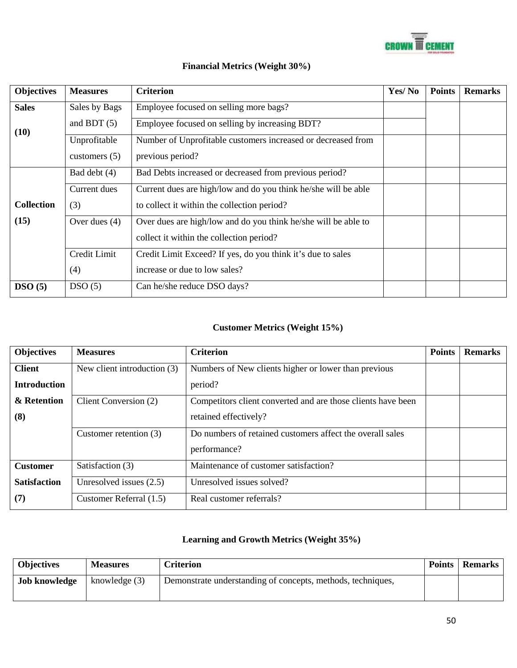

| <b>Objectives</b> | <b>Measures</b> | <b>Criterion</b>                                               | Yes/No | <b>Points</b> | <b>Remarks</b> |
|-------------------|-----------------|----------------------------------------------------------------|--------|---------------|----------------|
| <b>Sales</b>      | Sales by Bags   | Employee focused on selling more bags?                         |        |               |                |
| (10)              | and BDT $(5)$   | Employee focused on selling by increasing BDT?                 |        |               |                |
|                   | Unprofitable    | Number of Unprofitable customers increased or decreased from   |        |               |                |
|                   | customers $(5)$ | previous period?                                               |        |               |                |
|                   | Bad debt (4)    | Bad Debts increased or decreased from previous period?         |        |               |                |
|                   | Current dues    | Current dues are high/low and do you think he/she will be able |        |               |                |
| <b>Collection</b> | (3)             | to collect it within the collection period?                    |        |               |                |
| (15)              | Over dues $(4)$ | Over dues are high/low and do you think he/she will be able to |        |               |                |
|                   |                 | collect it within the collection period?                       |        |               |                |
|                   | Credit Limit    | Credit Limit Exceed? If yes, do you think it's due to sales    |        |               |                |
|                   | (4)             | increase or due to low sales?                                  |        |               |                |
| DSO(5)            | DSO(5)          | Can he/she reduce DSO days?                                    |        |               |                |

## **Financial Metrics (Weight 30%)**

## **Customer Metrics (Weight 15%)**

| <b>Objectives</b>   | <b>Measures</b>             | <b>Criterion</b>                                             | <b>Points</b> | <b>Remarks</b> |
|---------------------|-----------------------------|--------------------------------------------------------------|---------------|----------------|
| <b>Client</b>       | New client introduction (3) | Numbers of New clients higher or lower than previous         |               |                |
| <b>Introduction</b> |                             | period?                                                      |               |                |
| & Retention         | Client Conversion (2)       | Competitors client converted and are those clients have been |               |                |
| (8)                 |                             | retained effectively?                                        |               |                |
|                     | Customer retention (3)      | Do numbers of retained customers affect the overall sales    |               |                |
|                     |                             | performance?                                                 |               |                |
| <b>Customer</b>     | Satisfaction (3)            | Maintenance of customer satisfaction?                        |               |                |
| <b>Satisfaction</b> | Unresolved issues $(2.5)$   | Unresolved issues solved?                                    |               |                |
| (7)                 | Customer Referral (1.5)     | Real customer referrals?                                     |               |                |

## **Learning and Growth Metrics (Weight 35%)**

| <b>Objectives</b>    | <b>Measures</b> | Criterion                                                   | <b>Points</b> | Remarks |
|----------------------|-----------------|-------------------------------------------------------------|---------------|---------|
| <b>Job knowledge</b> | knowledge $(3)$ | Demonstrate understanding of concepts, methods, techniques, |               |         |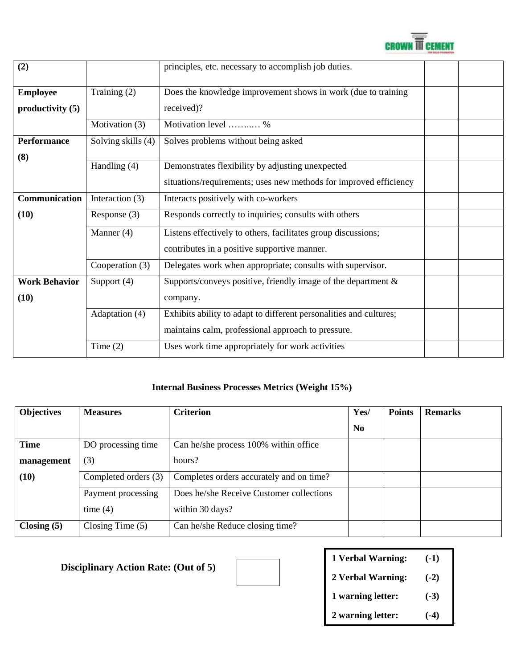

| (2)                  |                    | principles, etc. necessary to accomplish job duties.               |  |
|----------------------|--------------------|--------------------------------------------------------------------|--|
|                      |                    |                                                                    |  |
| <b>Employee</b>      | Training $(2)$     | Does the knowledge improvement shows in work (due to training      |  |
| productivity(5)      |                    | received)?                                                         |  |
|                      | Motivation (3)     | Motivation level  %                                                |  |
| <b>Performance</b>   | Solving skills (4) | Solves problems without being asked                                |  |
| (8)                  |                    |                                                                    |  |
|                      | Handling (4)       | Demonstrates flexibility by adjusting unexpected                   |  |
|                      |                    | situations/requirements; uses new methods for improved efficiency  |  |
| Communication        | Interaction (3)    | Interacts positively with co-workers                               |  |
| (10)                 | Response (3)       | Responds correctly to inquiries; consults with others              |  |
|                      | Manner (4)         | Listens effectively to others, facilitates group discussions;      |  |
|                      |                    | contributes in a positive supportive manner.                       |  |
|                      | Cooperation (3)    | Delegates work when appropriate; consults with supervisor.         |  |
| <b>Work Behavior</b> | Support $(4)$      | Supports/conveys positive, friendly image of the department $\&$   |  |
| (10)                 |                    | company.                                                           |  |
|                      | Adaptation (4)     | Exhibits ability to adapt to different personalities and cultures; |  |
|                      |                    | maintains calm, professional approach to pressure.                 |  |
|                      | Time $(2)$         | Uses work time appropriately for work activities                   |  |

## **Internal Business Processes Metrics (Weight 15%)**

| <b>Objectives</b> | <b>Measures</b>      | <b>Criterion</b>                         | Yes/           | <b>Points</b> | <b>Remarks</b> |
|-------------------|----------------------|------------------------------------------|----------------|---------------|----------------|
|                   |                      |                                          | N <sub>0</sub> |               |                |
| <b>Time</b>       | DO processing time   | Can he/she process 100% within office    |                |               |                |
| management        | (3)                  | hours?                                   |                |               |                |
| (10)              | Completed orders (3) | Completes orders accurately and on time? |                |               |                |
|                   | Payment processing   | Does he/she Receive Customer collections |                |               |                |
|                   | time $(4)$           | within 30 days?                          |                |               |                |
| Closing $(5)$     | Closing Time $(5)$   | Can he/she Reduce closing time?          |                |               |                |

## **Disciplinary Action Rate: (Out of 5)**

- **1 Verbal Warning: (-1)**
- **2 Verbal Warning: (-2)**
- **1 warning letter: (-3)**
- **2 warning letter: (-4)**

51